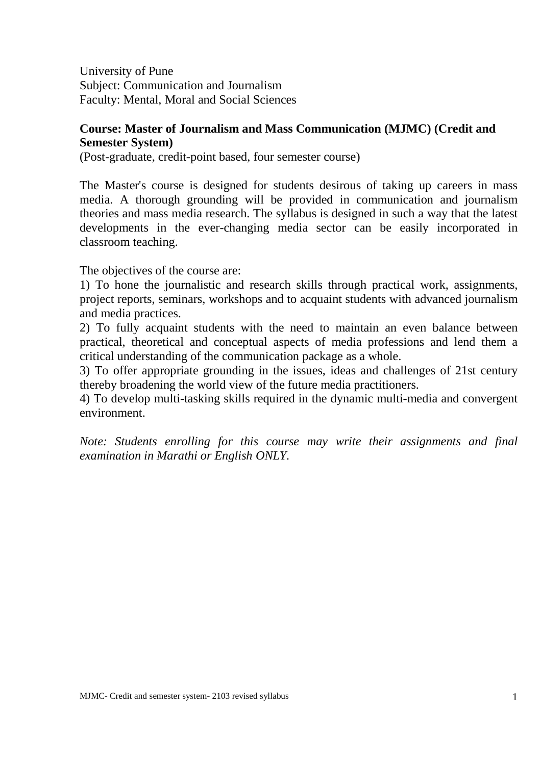University of Pune Subject: Communication and Journalism Faculty: Mental, Moral and Social Sciences

## **Course: Master of Journalism and Mass Communication (MJMC) (Credit and Semester System)**

(Post-graduate, credit-point based, four semester course)

The Master's course is designed for students desirous of taking up careers in mass media. A thorough grounding will be provided in communication and journalism theories and mass media research. The syllabus is designed in such a way that the latest developments in the ever-changing media sector can be easily incorporated in classroom teaching.

The objectives of the course are:

1) To hone the journalistic and research skills through practical work, assignments, project reports, seminars, workshops and to acquaint students with advanced journalism and media practices.

2) To fully acquaint students with the need to maintain an even balance between practical, theoretical and conceptual aspects of media professions and lend them a critical understanding of the communication package as a whole.

3) To offer appropriate grounding in the issues, ideas and challenges of 21st century thereby broadening the world view of the future media practitioners.

4) To develop multi-tasking skills required in the dynamic multi-media and convergent environment.

*Note: Students enrolling for this course may write their assignments and final examination in Marathi or English ONLY.*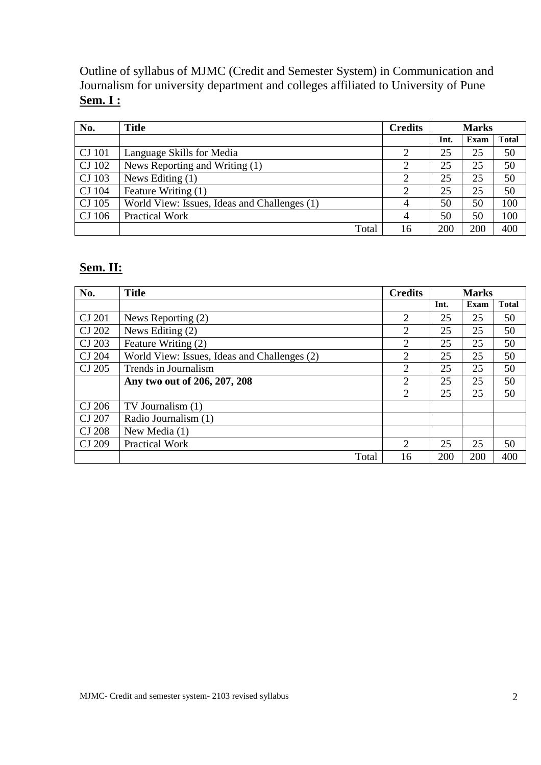Outline of syllabus of MJMC (Credit and Semester System) in Communication and Journalism for university department and colleges affiliated to University of Pune **Sem. I :** 

| No.    | <b>Title</b>                                 | <b>Credits</b> |      | <b>Marks</b> |              |  |
|--------|----------------------------------------------|----------------|------|--------------|--------------|--|
|        |                                              |                | Int. | Exam         | <b>Total</b> |  |
| CJ 101 | Language Skills for Media                    |                | 25   | 25           | 50           |  |
| CJ 102 | News Reporting and Writing (1)               |                | 25   | 25           | 50           |  |
| CJ 103 | News Editing $(1)$                           |                | 25   | 25           | 50           |  |
| CJ 104 | Feature Writing (1)                          |                | 25   | 25           | 50           |  |
| CJ 105 | World View: Issues, Ideas and Challenges (1) | 4              | 50   | 50           | 100          |  |
| CJ 106 | <b>Practical Work</b>                        | $\overline{4}$ | 50   | 50           | 100          |  |
|        | Total                                        | 16             | 200  | 200          | 400          |  |

# **Sem. II:**

| No.           | <b>Title</b>                                 | <b>Credits</b>                |      | <b>Marks</b> |              |
|---------------|----------------------------------------------|-------------------------------|------|--------------|--------------|
|               |                                              |                               | Int. | Exam         | <b>Total</b> |
| CJ 201        | News Reporting (2)                           | 2                             | 25   | 25           | 50           |
| CJ 202        | News Editing (2)                             | 2                             | 25   | 25           | 50           |
| CJ 203        | Feature Writing (2)                          | 2                             | 25   | 25           | 50           |
| CJ 204        | World View: Issues, Ideas and Challenges (2) | 2                             | 25   | 25           | 50           |
| CJ 205        | Trends in Journalism                         | 2                             | 25   | 25           | 50           |
|               | Any two out of 206, 207, 208                 | $\overline{2}$                | 25   | 25           | 50           |
|               |                                              | $\mathfrak{D}_{\mathfrak{p}}$ | 25   | 25           | 50           |
| CJ 206        | TV Journalism (1)                            |                               |      |              |              |
| CJ 207        | Radio Journalism (1)                         |                               |      |              |              |
| <b>CJ 208</b> | New Media (1)                                |                               |      |              |              |
| CJ 209        | <b>Practical Work</b>                        | 2                             | 25   | 25           | 50           |
|               | Total                                        | 16                            | 200  | 200          | 400          |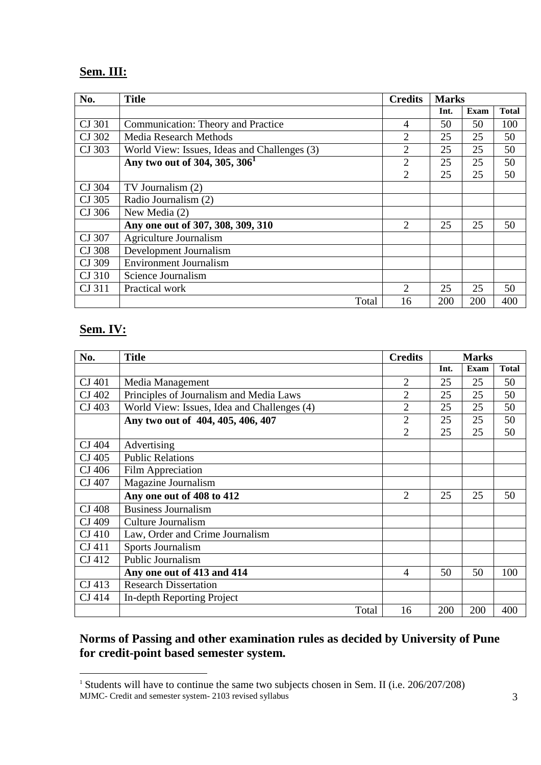# **Sem. III:**

| No.    | <b>Title</b>                                 | <b>Credits</b>              |      | <b>Marks</b> |              |  |
|--------|----------------------------------------------|-----------------------------|------|--------------|--------------|--|
|        |                                              |                             | Int. | Exam         | <b>Total</b> |  |
| CJ 301 | Communication: Theory and Practice           | $\overline{4}$              | 50   | 50           | 100          |  |
| CJ 302 | <b>Media Research Methods</b>                | 2                           | 25   | 25           | 50           |  |
| CJ 303 | World View: Issues, Ideas and Challenges (3) | $\overline{2}$              | 25   | 25           | 50           |  |
|        | Any two out of 304, 305, 306 <sup>1</sup>    | $\overline{2}$              | 25   | 25           | 50           |  |
|        |                                              | 2                           | 25   | 25           | 50           |  |
| CJ 304 | TV Journalism (2)                            |                             |      |              |              |  |
| CJ 305 | Radio Journalism (2)                         |                             |      |              |              |  |
| CJ 306 | New Media (2)                                |                             |      |              |              |  |
|        | Any one out of 307, 308, 309, 310            | $\mathcal{D}_{\mathcal{L}}$ | 25   | 25           | 50           |  |
| CJ 307 | Agriculture Journalism                       |                             |      |              |              |  |
| CJ 308 | Development Journalism                       |                             |      |              |              |  |
| CJ 309 | <b>Environment Journalism</b>                |                             |      |              |              |  |
| CJ 310 | Science Journalism                           |                             |      |              |              |  |
| CJ 311 | Practical work                               | 2                           | 25   | 25           | 50           |  |
|        | Total                                        | 16                          | 200  | 200          | 400          |  |

# **Sem. IV:**

-

| No.    | <b>Title</b>                                | <b>Credits</b> |      | <b>Marks</b> |              |
|--------|---------------------------------------------|----------------|------|--------------|--------------|
|        |                                             |                | Int. | <b>Exam</b>  | <b>Total</b> |
| CJ 401 | Media Management                            | $\overline{2}$ | 25   | 25           | 50           |
| CJ 402 | Principles of Journalism and Media Laws     | $\overline{2}$ | 25   | 25           | 50           |
| CJ 403 | World View: Issues, Idea and Challenges (4) | $\overline{2}$ | 25   | 25           | 50           |
|        | Any two out of 404, 405, 406, 407           | $\overline{2}$ | 25   | 25           | 50           |
|        |                                             | $\overline{2}$ | 25   | 25           | 50           |
| CJ 404 | Advertising                                 |                |      |              |              |
| CJ 405 | <b>Public Relations</b>                     |                |      |              |              |
| CJ 406 | Film Appreciation                           |                |      |              |              |
| CJ 407 | Magazine Journalism                         |                |      |              |              |
|        | Any one out of 408 to 412                   | $\overline{2}$ | 25   | 25           | 50           |
| CJ 408 | <b>Business Journalism</b>                  |                |      |              |              |
| CJ 409 | Culture Journalism                          |                |      |              |              |
| CJ 410 | Law, Order and Crime Journalism             |                |      |              |              |
| CJ 411 | Sports Journalism                           |                |      |              |              |
| CJ 412 | Public Journalism                           |                |      |              |              |
|        | Any one out of 413 and 414                  | 4              | 50   | 50           | 100          |
| CJ 413 | <b>Research Dissertation</b>                |                |      |              |              |
| CJ 414 | In-depth Reporting Project                  |                |      |              |              |
|        | Total                                       | 16             | 200  | 200          | 400          |

# **Norms of Passing and other examination rules as decided by University of Pune for credit-point based semester system.**

MJMC- Credit and semester system- 2103 revised syllabus 3 <sup>1</sup> Students will have to continue the same two subjects chosen in Sem. II (i.e. 206/207/208)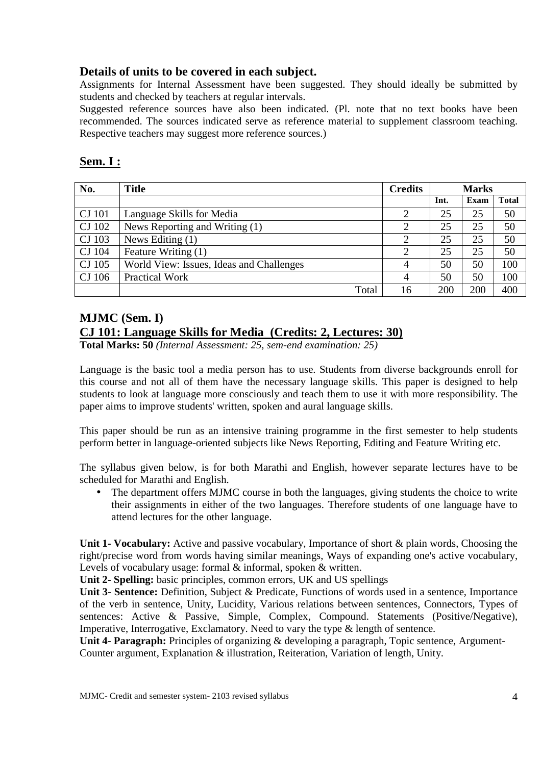## **Details of units to be covered in each subject.**

Assignments for Internal Assessment have been suggested. They should ideally be submitted by students and checked by teachers at regular intervals.

Suggested reference sources have also been indicated. (Pl. note that no text books have been recommended. The sources indicated serve as reference material to supplement classroom teaching. Respective teachers may suggest more reference sources.)

# **Sem. I :**

| No.    | <b>Title</b>                             | <b>Credits</b> |      | <b>Marks</b> |              |  |
|--------|------------------------------------------|----------------|------|--------------|--------------|--|
|        |                                          |                | Int. | Exam         | <b>Total</b> |  |
| CJ 101 | Language Skills for Media                |                | 25   | 25           | 50           |  |
| CJ 102 | News Reporting and Writing (1)           |                | 25   | 25           | 50           |  |
| CJ 103 | News Editing $(1)$                       |                | 25   | 25           | 50           |  |
| CJ 104 | Feature Writing (1)                      |                | 25   | 25           | 50           |  |
| CJ 105 | World View: Issues, Ideas and Challenges | 4              | 50   | 50           | 100          |  |
| CJ 106 | <b>Practical Work</b>                    | 4              | 50   | 50           | 100          |  |
|        | Total                                    | 16             | 200  | 200          | 400          |  |

# **MJMC (Sem. I) CJ 101: Language Skills for Media (Credits: 2, Lectures: 30)**

**Total Marks: 50** *(Internal Assessment: 25, sem-end examination: 25)*

Language is the basic tool a media person has to use. Students from diverse backgrounds enroll for this course and not all of them have the necessary language skills. This paper is designed to help students to look at language more consciously and teach them to use it with more responsibility. The paper aims to improve students' written, spoken and aural language skills.

This paper should be run as an intensive training programme in the first semester to help students perform better in language-oriented subjects like News Reporting, Editing and Feature Writing etc.

The syllabus given below, is for both Marathi and English, however separate lectures have to be scheduled for Marathi and English.

• The department offers MJMC course in both the languages, giving students the choice to write their assignments in either of the two languages. Therefore students of one language have to attend lectures for the other language.

**Unit 1- Vocabulary:** Active and passive vocabulary, Importance of short & plain words, Choosing the right/precise word from words having similar meanings, Ways of expanding one's active vocabulary, Levels of vocabulary usage: formal & informal, spoken & written.

**Unit 2- Spelling:** basic principles, common errors, UK and US spellings

**Unit 3- Sentence:** Definition, Subject & Predicate, Functions of words used in a sentence, Importance of the verb in sentence, Unity, Lucidity, Various relations between sentences, Connectors, Types of sentences: Active & Passive, Simple, Complex, Compound. Statements (Positive/Negative), Imperative, Interrogative, Exclamatory. Need to vary the type & length of sentence.

Unit 4- Paragraph: Principles of organizing & developing a paragraph, Topic sentence, Argument-Counter argument, Explanation & illustration, Reiteration, Variation of length, Unity.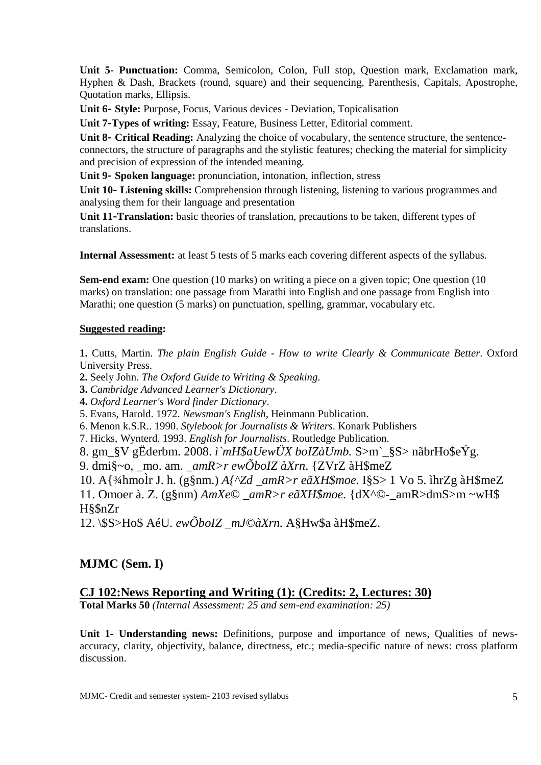**Unit 5- Punctuation:** Comma, Semicolon, Colon, Full stop, Question mark, Exclamation mark, Hyphen & Dash, Brackets (round, square) and their sequencing, Parenthesis, Capitals, Apostrophe, Quotation marks, Ellipsis.

**Unit 6- Style:** Purpose, Focus, Various devices - Deviation, Topicalisation

**Unit 7-Types of writing:** Essay, Feature, Business Letter, Editorial comment.

**Unit 8- Critical Reading:** Analyzing the choice of vocabulary, the sentence structure, the sentenceconnectors, the structure of paragraphs and the stylistic features; checking the material for simplicity and precision of expression of the intended meaning.

**Unit 9- Spoken language:** pronunciation, intonation, inflection, stress

**Unit 10- Listening skills:** Comprehension through listening, listening to various programmes and analysing them for their language and presentation

**Unit 11-Translation:** basic theories of translation, precautions to be taken, different types of translations.

**Internal Assessment:** at least 5 tests of 5 marks each covering different aspects of the syllabus.

**Sem-end exam:** One question (10 marks) on writing a piece on a given topic; One question (10 marks) on translation: one passage from Marathi into English and one passage from English into Marathi; one question (5 marks) on punctuation, spelling, grammar, vocabulary etc.

#### **Suggested reading:**

**1.** Cutts, Martin. *The plain English Guide - How to write Clearly & Communicate Better*. Oxford University Press.

**2.** Seely John. *The Oxford Guide to Writing & Speaking*.

**3.** *Cambridge Advanced Learner's Dictionary*.

**4.** *Oxford Learner's Word finder Dictionary*.

5. Evans, Harold. 1972. *Newsman's English*, Heinmann Publication.

6. Menon k.S.R.. 1990. *Stylebook for Journalists & Writers*. Konark Publishers

7. Hicks, Wynterd. 1993. *English for Journalists*. Routledge Publication.

8. gm\_§V gËderbm. 2008. *ì`mH\$aUewÜX boIZàUmb.* S>m`\_§S> nãbrHo\$eÝg.

9. dmi§~o, \_mo. am. *\_amR>r ewÕboIZ àXrn*. {ZVrZ àH\$meZ

10. A{¾hmoÌr J. h. (g§nm.) *A{^Zd \_amR>r eãXH\$moe.* I§S> 1 Vo 5. ìhrZg àH\$meZ 11. Omoer à. Z. (g§nm) *AmXe© \_amR>r eãXH\$moe.* {dX^©-\_amR>dmS>m ~wH\$ H§\$nZr

12. \\$S>Ho\$ AéU. *ewÕboIZ \_mJ©àXrn.* A§Hw\$a àH\$meZ.

# **MJMC (Sem. I)**

# **CJ 102:News Reporting and Writing (1): (Credits: 2, Lectures: 30)**

**Total Marks 50** *(Internal Assessment: 25 and sem-end examination: 25)*

Unit 1- Understanding news: Definitions, purpose and importance of news, Qualities of newsaccuracy, clarity, objectivity, balance, directness, etc.; media-specific nature of news: cross platform discussion.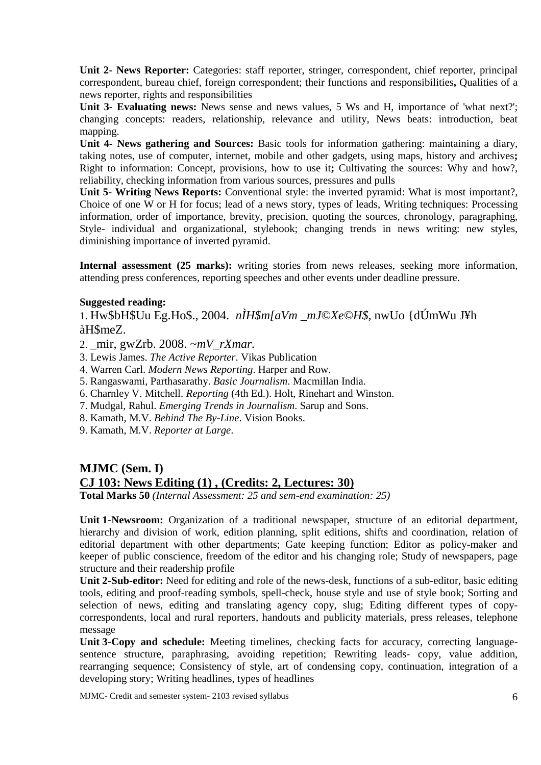**Unit 2- News Reporter:** Categories: staff reporter, stringer, correspondent, chief reporter, principal correspondent, bureau chief, foreign correspondent; their functions and responsibilities**,** Qualities of a news reporter, rights and responsibilities

Unit 3- Evaluating news: News sense and news values, 5 Ws and H, importance of 'what next?'; changing concepts: readers, relationship, relevance and utility, News beats: introduction, beat mapping.

**Unit 4- News gathering and Sources:** Basic tools for information gathering: maintaining a diary, taking notes, use of computer, internet, mobile and other gadgets, using maps, history and archives**;**  Right to information: Concept, provisions, how to use it**;** Cultivating the sources: Why and how?, reliability, checking information from various sources, pressures and pulls

**Unit 5- Writing News Reports:** Conventional style: the inverted pyramid: What is most important?, Choice of one W or H for focus; lead of a news story, types of leads, Writing techniques: Processing information, order of importance, brevity, precision, quoting the sources, chronology, paragraphing, Style- individual and organizational, stylebook; changing trends in news writing: new styles, diminishing importance of inverted pyramid.

**Internal assessment (25 marks):** writing stories from news releases, seeking more information, attending press conferences, reporting speeches and other events under deadline pressure.

#### **Suggested reading:**

1. Hw\$bH\$Uu Eg.Ho\$., 2004. *nÌH\$m[aVm \_mJ©Xe©H\$,* nwUo {dÚmWu J¥h àH\$meZ.

- 2. \_mir, gwZrb. 2008. *~mV\_rXmar.*
- 3. Lewis James. *The Active Reporter*. Vikas Publication
- 4. Warren Carl. *Modern News Reporting*. Harper and Row.
- 5. Rangaswami, Parthasarathy. *Basic Journalism*. Macmillan India.
- 6. Charnley V. Mitchell. *Reporting* (4th Ed.). Holt, Rinehart and Winston.
- 7. Mudgal, Rahul. *Emerging Trends in Journalism*. Sarup and Sons.
- 8. Kamath, M.V. *Behind The By-Line*. Vision Books.
- 9. Kamath, M.V. *Reporter at Large*.

# **MJMC (Sem. I) CJ 103: News Editing (1) , (Credits: 2, Lectures: 30)**

**Total Marks 50** *(Internal Assessment: 25 and sem-end examination: 25)*

**Unit 1- Newsroom:** Organization of a traditional newspaper, structure of an editorial department, hierarchy and division of work, edition planning, split editions, shifts and coordination, relation of editorial department with other departments; Gate keeping function; Editor as policy-maker and keeper of public conscience, freedom of the editor and his changing role; Study of newspapers, page structure and their readership profile

Unit 2-Sub-editor: Need for editing and role of the news-desk, functions of a sub-editor, basic editing tools, editing and proof-reading symbols, spell-check, house style and use of style book; Sorting and selection of news, editing and translating agency copy, slug; Editing different types of copycorrespondents, local and rural reporters, handouts and publicity materials, press releases, telephone message

**Unit 3- Copy and schedule:** Meeting timelines, checking facts for accuracy, correcting languagesentence structure, paraphrasing, avoiding repetition; Rewriting leads- copy, value addition, rearranging sequence; Consistency of style, art of condensing copy, continuation, integration of a developing story; Writing headlines, types of headlines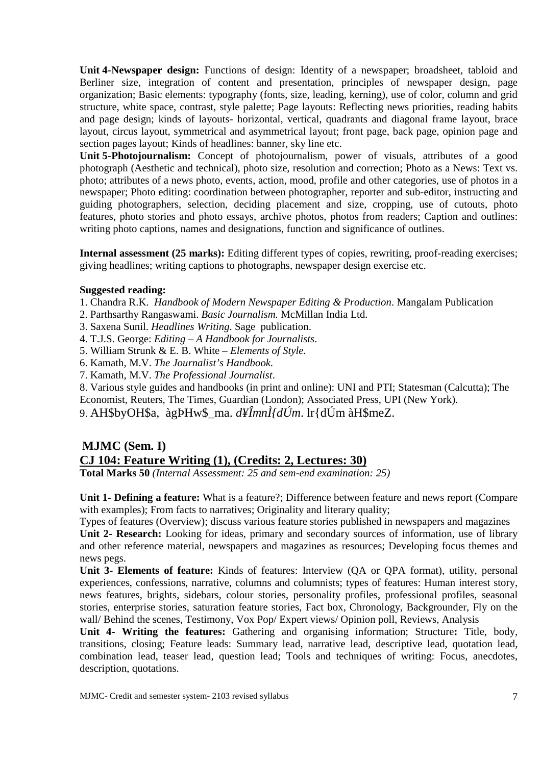**Unit 4- Newspaper design:** Functions of design: Identity of a newspaper; broadsheet, tabloid and Berliner size, integration of content and presentation, principles of newspaper design, page organization; Basic elements: typography (fonts, size, leading, kerning), use of color, column and grid structure, white space, contrast, style palette; Page layouts: Reflecting news priorities, reading habits and page design; kinds of layouts- horizontal, vertical, quadrants and diagonal frame layout, brace layout, circus layout, symmetrical and asymmetrical layout; front page, back page, opinion page and section pages layout; Kinds of headlines: banner, sky line etc.

**Unit 5- Photojournalism:** Concept of photojournalism, power of visuals, attributes of a good photograph (Aesthetic and technical), photo size, resolution and correction; Photo as a News: Text vs. photo; attributes of a news photo, events, action, mood, profile and other categories, use of photos in a newspaper; Photo editing: coordination between photographer, reporter and sub-editor, instructing and guiding photographers, selection, deciding placement and size, cropping, use of cutouts, photo features, photo stories and photo essays, archive photos, photos from readers; Caption and outlines: writing photo captions, names and designations, function and significance of outlines.

**Internal assessment (25 marks):** Editing different types of copies, rewriting, proof-reading exercises; giving headlines; writing captions to photographs, newspaper design exercise etc.

#### **Suggested reading:**

1. Chandra R.K. *Handbook of Modern Newspaper Editing & Production*. Mangalam Publication

- 2. Parthsarthy Rangaswami. *Basic Journalism.* McMillan India Ltd.
- 3. Saxena Sunil. *Headlines Writing*. Sage publication.
- 4. T.J.S. George: *Editing A Handbook for Journalists*.
- 5. William Strunk & E. B. White *Elements of Style.*
- 6. Kamath, M.V. *The Journalist's Handbook*.
- 7. Kamath, M.V. *The Professional Journalist*.

8. Various style guides and handbooks (in print and online): UNI and PTI; Statesman (Calcutta); The Economist, Reuters, The Times, Guardian (London); Associated Press, UPI (New York).

9. AH\$byOH\$a, àgÞHw\$\_ma. *d¥ÎmnÌ{dÚm*. lr{dÚm àH\$meZ.

#### **MJMC (Sem. I) CJ 104: Feature Writing (1), (Credits: 2, Lectures: 30)**

**Total Marks 50** *(Internal Assessment: 25 and sem-end examination: 25)*

**Unit 1- Defining a feature:** What is a feature?; Difference between feature and news report (Compare with examples); From facts to narratives; Originality and literary quality;

Types of features (Overview); discuss various feature stories published in newspapers and magazines **Unit 2- Research:** Looking for ideas, primary and secondary sources of information, use of library and other reference material, newspapers and magazines as resources; Developing focus themes and news pegs.

**Unit 3- Elements of feature:** Kinds of features: Interview (QA or QPA format), utility, personal experiences, confessions, narrative, columns and columnists; types of features: Human interest story, news features, brights, sidebars, colour stories, personality profiles, professional profiles, seasonal stories, enterprise stories, saturation feature stories, Fact box, Chronology, Backgrounder, Fly on the wall/ Behind the scenes, Testimony, Vox Pop/ Expert views/ Opinion poll, Reviews, Analysis

**Unit 4- Writing the features:** Gathering and organising information; Structure**:** Title, body, transitions, closing; Feature leads: Summary lead, narrative lead, descriptive lead, quotation lead, combination lead, teaser lead, question lead; Tools and techniques of writing: Focus, anecdotes, description, quotations.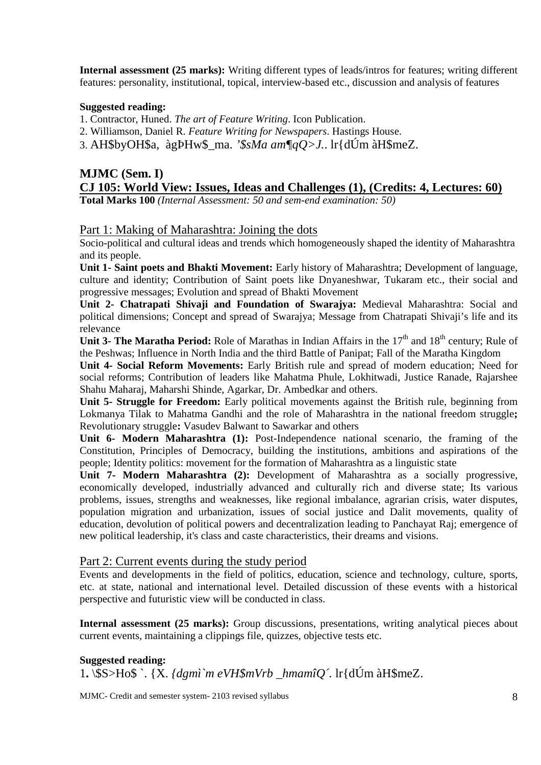**Internal assessment (25 marks):** Writing different types of leads/intros for features; writing different features: personality, institutional, topical, interview-based etc., discussion and analysis of features

#### **Suggested reading:**

1. Contractor, Huned. *The art of Feature Writing*. Icon Publication.

2. Williamson, Daniel R. *Feature Writing for Newspapers*. Hastings House.

3. AH\$byOH\$a, àgÞHw\$\_ma. *'\$sMa am¶qQ>J.*. lr{dÚm àH\$meZ.

# **MJMC (Sem. I) CJ 105: World View: Issues, Ideas and Challenges (1), (Credits: 4, Lectures: 60)**

**Total Marks 100** *(Internal Assessment: 50 and sem-end examination: 50)*

#### Part 1: Making of Maharashtra: Joining the dots

Socio-political and cultural ideas and trends which homogeneously shaped the identity of Maharashtra and its people.

**Unit 1- Saint poets and Bhakti Movement:** Early history of Maharashtra; Development of language, culture and identity; Contribution of Saint poets like Dnyaneshwar, Tukaram etc., their social and progressive messages; Evolution and spread of Bhakti Movement

**Unit 2- Chatrapati Shivaji and Foundation of Swarajya:** Medieval Maharashtra: Social and political dimensions; Concept and spread of Swarajya; Message from Chatrapati Shivaji's life and its relevance

**Unit 3- The Maratha Period:** Role of Marathas in Indian Affairs in the 17<sup>th</sup> and 18<sup>th</sup> century; Rule of the Peshwas; Influence in North India and the third Battle of Panipat; Fall of the Maratha Kingdom

**Unit 4- Social Reform Movements:** Early British rule and spread of modern education; Need for social reforms; Contribution of leaders like Mahatma Phule, Lokhitwadi, Justice Ranade, Rajarshee Shahu Maharaj, Maharshi Shinde, Agarkar, Dr. Ambedkar and others.

**Unit 5- Struggle for Freedom:** Early political movements against the British rule, beginning from Lokmanya Tilak to Mahatma Gandhi and the role of Maharashtra in the national freedom struggle**;**  Revolutionary struggle**:** Vasudev Balwant to Sawarkar and others

**Unit 6- Modern Maharashtra (1):** Post-Independence national scenario, the framing of the Constitution, Principles of Democracy, building the institutions, ambitions and aspirations of the people; Identity politics: movement for the formation of Maharashtra as a linguistic state

**Unit 7- Modern Maharashtra (2):** Development of Maharashtra as a socially progressive, economically developed, industrially advanced and culturally rich and diverse state; Its various problems, issues, strengths and weaknesses, like regional imbalance, agrarian crisis, water disputes, population migration and urbanization, issues of social justice and Dalit movements, quality of education, devolution of political powers and decentralization leading to Panchayat Raj; emergence of new political leadership, it's class and caste characteristics, their dreams and visions.

#### Part 2: Current events during the study period

Events and developments in the field of politics, education, science and technology, culture, sports, etc. at state, national and international level. Detailed discussion of these events with a historical perspective and futuristic view will be conducted in class.

**Internal assessment (25 marks):** Group discussions, presentations, writing analytical pieces about current events, maintaining a clippings file, quizzes, objective tests etc.

#### **Suggested reading:**  1**.** \\$S>Ho\$ `. {X. *{dgmì`m eVH\$mVrb \_hmamîQ´.* lr{dÚm àH\$meZ.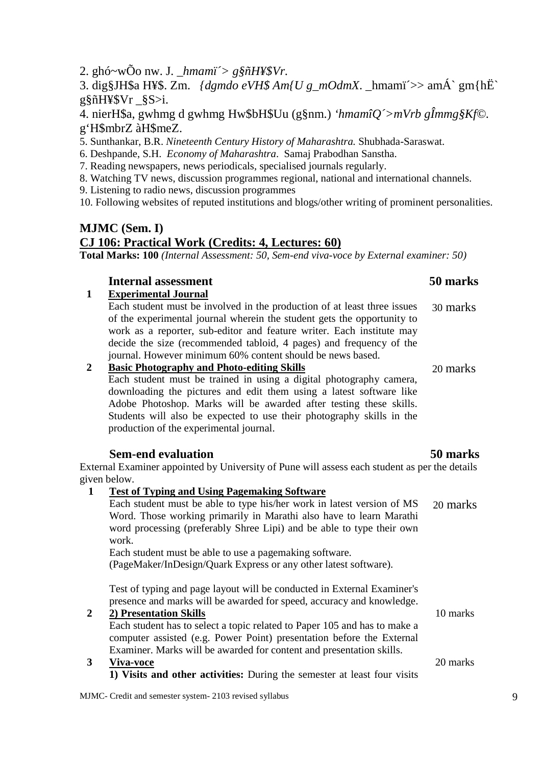3. dig§JH\$a H¥\$. Zm. *{dgmdo eVH\$ Am{U g\_mOdmX*. \_hmamï´>> amÁ` gm{hË` g§ñH¥\$Vr \_§S>i.

4. nierH\$a, gwhmg d gwhmg Hw\$bH\$Uu (g§nm.) *'hmamîQ´>mVrb gÎmmg§Kf©.*  g'H\$mbrZ àH\$meZ.

5. Sunthankar, B.R. *Nineteenth Century History of Maharashtra.* Shubhada-Saraswat.

- 6. Deshpande, S.H. *Economy of Maharashtra*. Samaj Prabodhan Sanstha.
- 7. Reading newspapers, news periodicals, specialised journals regularly.
- 8. Watching TV news, discussion programmes regional, national and international channels.
- 9. Listening to radio news, discussion programmes

10. Following websites of reputed institutions and blogs/other writing of prominent personalities.

# **MJMC (Sem. I) CJ 106: Practical Work (Credits: 4, Lectures: 60)**

**Total Marks: 100** *(Internal Assessment: 50, Sem-end viva-voce by External examiner: 50)*

#### **Internal assessment** 50 marks

#### **1 Experimental Journal**

Each student must be involved in the production of at least three issues of the experimental journal wherein the student gets the opportunity to work as a reporter, sub-editor and feature writer. Each institute may decide the size (recommended tabloid, 4 pages) and frequency of the journal. However minimum 60% content should be news based.

#### **2 Basic Photography and Photo-editing Skills**

Each student must be trained in using a digital photography camera, downloading the pictures and edit them using a latest software like Adobe Photoshop. Marks will be awarded after testing these skills. Students will also be expected to use their photography skills in the production of the experimental journal.

#### **Sem-end evaluation 50 marks**

External Examiner appointed by University of Pune will assess each student as per the details given below.

 **1 Test of Typing and Using Pagemaking Software** Each student must be able to type his/her work in latest version of MS Word. Those working primarily in Marathi also have to learn Marathi word processing (preferably Shree Lipi) and be able to type their own work. Each student must be able to use a pagemaking software. (PageMaker/InDesign/Quark Express or any other latest software). Test of typing and page layout will be conducted in External Examiner's presence and marks will be awarded for speed, accuracy and knowledge. 20 marks **2 2) Presentation Skills** Each student has to select a topic related to Paper 105 and has to make a computer assisted (e.g. Power Point) presentation before the External Examiner. Marks will be awarded for content and presentation skills. 10 marks **3 Viva-voce 1) Visits and other activities:** During the semester at least four visits 20 marks

MJMC- Credit and semester system- 2103 revised syllabus 9

# 30 marks

20 marks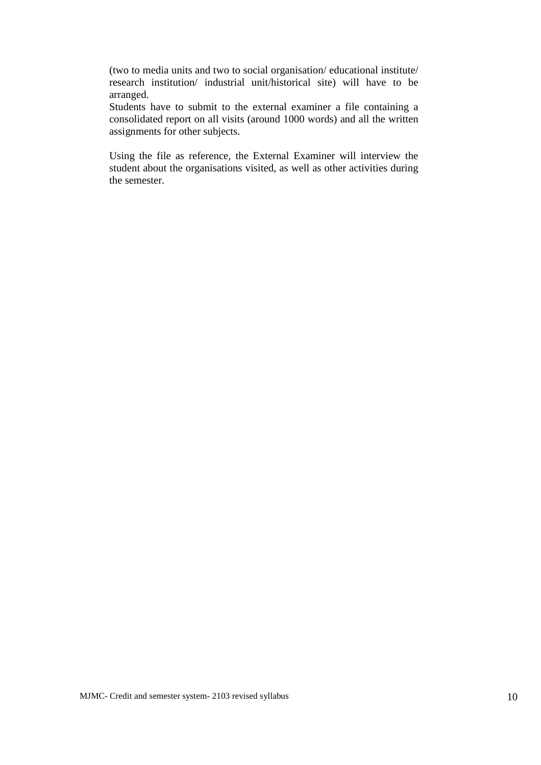(two to media units and two to social organisation/ educational institute/ research institution/ industrial unit/historical site) will have to be arranged.

Students have to submit to the external examiner a file containing a consolidated report on all visits (around 1000 words) and all the written assignments for other subjects.

Using the file as reference, the External Examiner will interview the student about the organisations visited, as well as other activities during the semester.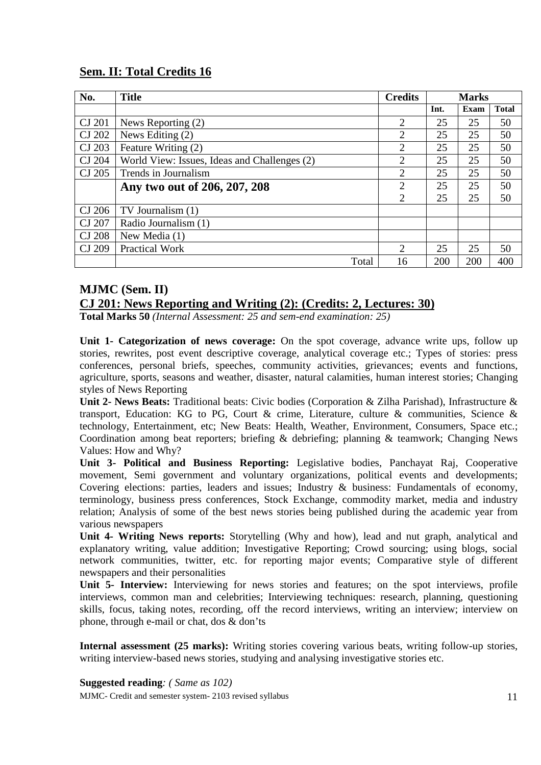## **Sem. II: Total Credits 16**

| No.           | <b>Title</b>                                 | <b>Credits</b> |      | <b>Marks</b> |              |
|---------------|----------------------------------------------|----------------|------|--------------|--------------|
|               |                                              |                | Int. | Exam         | <b>Total</b> |
| CJ 201        | News Reporting (2)                           | 2              | 25   | 25           | 50           |
| CJ 202        | News Editing (2)                             | 2              | 25   | 25           | 50           |
| CJ 203        | Feature Writing (2)                          | $\overline{2}$ | 25   | 25           | 50           |
| CJ 204        | World View: Issues, Ideas and Challenges (2) | 2              | 25   | 25           | 50           |
| CJ 205        | Trends in Journalism                         | $\overline{2}$ | 25   | 25           | 50           |
|               | Any two out of 206, 207, 208                 | $\overline{2}$ | 25   | 25           | 50           |
|               |                                              | $\overline{2}$ | 25   | 25           | 50           |
| CJ 206        | TV Journalism (1)                            |                |      |              |              |
| CJ 207        | Radio Journalism (1)                         |                |      |              |              |
| <b>CJ 208</b> | New Media (1)                                |                |      |              |              |
| CJ 209        | <b>Practical Work</b>                        | 2              | 25   | 25           | 50           |
|               | Total                                        | 16             | 200  | 200          | 400          |

## **MJMC (Sem. II)**

## **CJ 201: News Reporting and Writing (2): (Credits: 2, Lectures: 30)**

**Total Marks 50** *(Internal Assessment: 25 and sem-end examination: 25)*

**Unit 1- Categorization of news coverage:** On the spot coverage, advance write ups, follow up stories, rewrites, post event descriptive coverage, analytical coverage etc.; Types of stories: press conferences, personal briefs, speeches, community activities, grievances; events and functions, agriculture, sports, seasons and weather, disaster, natural calamities, human interest stories; Changing styles of News Reporting

**Unit 2- News Beats:** Traditional beats: Civic bodies (Corporation & Zilha Parishad), Infrastructure & transport, Education: KG to PG, Court & crime, Literature, culture & communities, Science & technology, Entertainment, etc; New Beats: Health, Weather, Environment, Consumers, Space etc.; Coordination among beat reporters; briefing & debriefing; planning & teamwork; Changing News Values: How and Why?

**Unit 3- Political and Business Reporting:** Legislative bodies, Panchayat Raj, Cooperative movement, Semi government and voluntary organizations, political events and developments; Covering elections: parties, leaders and issues; Industry & business: Fundamentals of economy, terminology, business press conferences, Stock Exchange, commodity market, media and industry relation; Analysis of some of the best news stories being published during the academic year from various newspapers

**Unit 4- Writing News reports:** Storytelling (Why and how), lead and nut graph, analytical and explanatory writing, value addition; Investigative Reporting; Crowd sourcing; using blogs, social network communities, twitter, etc. for reporting major events; Comparative style of different newspapers and their personalities

Unit 5- Interview: Interviewing for news stories and features; on the spot interviews, profile interviews, common man and celebrities; Interviewing techniques: research, planning, questioning skills, focus, taking notes, recording, off the record interviews, writing an interview; interview on phone, through e-mail or chat, dos & don'ts

**Internal assessment (25 marks):** Writing stories covering various beats, writing follow-up stories, writing interview-based news stories, studying and analysing investigative stories etc.

#### **Suggested reading***: ( Same as 102)*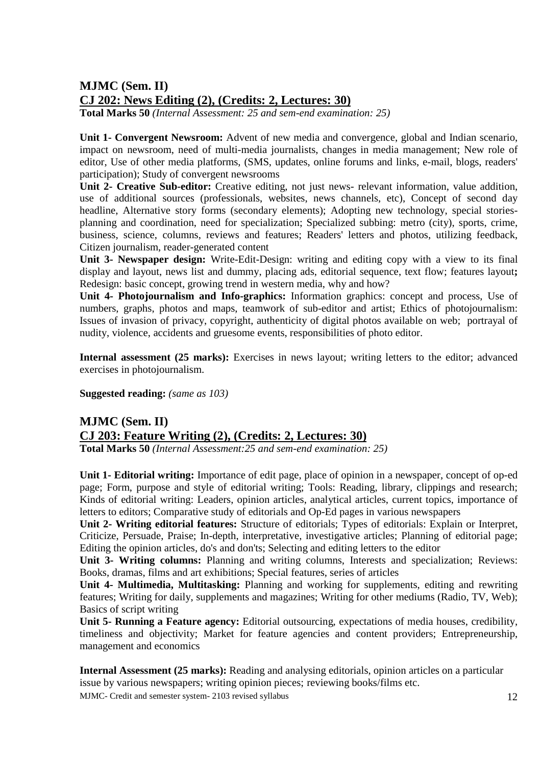# **MJMC (Sem. II) CJ 202: News Editing (2), (Credits: 2, Lectures: 30)**

**Total Marks 50** *(Internal Assessment: 25 and sem-end examination: 25)*

**Unit 1- Convergent Newsroom:** Advent of new media and convergence, global and Indian scenario, impact on newsroom, need of multi-media journalists, changes in media management; New role of editor, Use of other media platforms, (SMS, updates, online forums and links, e-mail, blogs, readers' participation); Study of convergent newsrooms

**Unit 2- Creative Sub-editor:** Creative editing, not just news- relevant information, value addition, use of additional sources (professionals, websites, news channels, etc), Concept of second day headline, Alternative story forms (secondary elements); Adopting new technology, special storiesplanning and coordination, need for specialization; Specialized subbing: metro (city), sports, crime, business, science, columns, reviews and features; Readers' letters and photos, utilizing feedback, Citizen journalism, reader-generated content

**Unit 3- Newspaper design:** Write-Edit-Design: writing and editing copy with a view to its final display and layout, news list and dummy, placing ads, editorial sequence, text flow; features layout**;**  Redesign: basic concept, growing trend in western media, why and how?

**Unit 4- Photojournalism and Info-graphics:** Information graphics: concept and process, Use of numbers, graphs, photos and maps, teamwork of sub-editor and artist; Ethics of photojournalism: Issues of invasion of privacy, copyright, authenticity of digital photos available on web; portrayal of nudity, violence, accidents and gruesome events, responsibilities of photo editor.

**Internal assessment (25 marks):** Exercises in news layout; writing letters to the editor; advanced exercises in photojournalism.

**Suggested reading:** *(same as 103)* 

# **MJMC (Sem. II) CJ 203: Feature Writing (2), (Credits: 2, Lectures: 30)**

**Total Marks 50** *(Internal Assessment:25 and sem-end examination: 25)*

**Unit 1- Editorial writing:** Importance of edit page, place of opinion in a newspaper, concept of op-ed page; Form, purpose and style of editorial writing; Tools: Reading, library, clippings and research; Kinds of editorial writing: Leaders, opinion articles, analytical articles, current topics, importance of letters to editors; Comparative study of editorials and Op-Ed pages in various newspapers

**Unit 2- Writing editorial features:** Structure of editorials; Types of editorials: Explain or Interpret, Criticize, Persuade, Praise; In-depth, interpretative, investigative articles; Planning of editorial page; Editing the opinion articles, do's and don'ts; Selecting and editing letters to the editor

**Unit 3- Writing columns:** Planning and writing columns, Interests and specialization; Reviews: Books, dramas, films and art exhibitions; Special features, series of articles

**Unit 4- Multimedia, Multitasking:** Planning and working for supplements, editing and rewriting features; Writing for daily, supplements and magazines; Writing for other mediums (Radio, TV, Web); Basics of script writing

**Unit 5- Running a Feature agency:** Editorial outsourcing, expectations of media houses, credibility, timeliness and objectivity; Market for feature agencies and content providers; Entrepreneurship, management and economics

**Internal Assessment (25 marks):** Reading and analysing editorials, opinion articles on a particular issue by various newspapers; writing opinion pieces; reviewing books/films etc.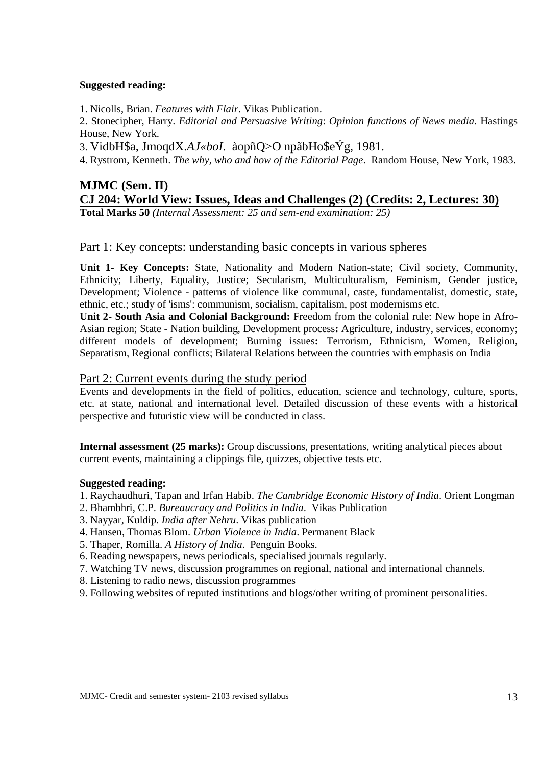#### **Suggested reading:**

1. Nicolls, Brian. *Features with Flair*. Vikas Publication.

2. Stonecipher, Harry. *Editorial and Persuasive Writing*: *Opinion functions of News media*. Hastings House, New York.

3. VidbH\$a, JmoqdX.*AJ«boI*. àopñQ>O npãbHo\$eÝg, 1981.

4. Rystrom, Kenneth. *The why, who and how of the Editorial Page*. Random House, New York, 1983.

## **MJMC (Sem. II) CJ 204: World View: Issues, Ideas and Challenges (2) (Credits: 2, Lectures: 30) Total Marks 50** *(Internal Assessment: 25 and sem-end examination: 25)*

#### Part 1: Key concepts: understanding basic concepts in various spheres

**Unit 1- Key Concepts:** State, Nationality and Modern Nation-state; Civil society, Community, Ethnicity; Liberty, Equality, Justice; Secularism, Multiculturalism, Feminism, Gender justice, Development; Violence - patterns of violence like communal, caste, fundamentalist, domestic, state, ethnic, etc.; study of 'isms': communism, socialism, capitalism, post modernisms etc.

**Unit 2- South Asia and Colonial Background:** Freedom from the colonial rule: New hope in Afro-Asian region; State - Nation building, Development process**:** Agriculture, industry, services, economy; different models of development; Burning issues**:** Terrorism, Ethnicism, Women, Religion, Separatism, Regional conflicts; Bilateral Relations between the countries with emphasis on India

#### Part 2: Current events during the study period

Events and developments in the field of politics, education, science and technology, culture, sports, etc. at state, national and international level. Detailed discussion of these events with a historical perspective and futuristic view will be conducted in class.

**Internal assessment (25 marks):** Group discussions, presentations, writing analytical pieces about current events, maintaining a clippings file, quizzes, objective tests etc.

#### **Suggested reading:**

- 1. Raychaudhuri, Tapan and Irfan Habib. *The Cambridge Economic History of India*. Orient Longman
- 2. Bhambhri, C.P. *Bureaucracy and Politics in India*. Vikas Publication
- 3. Nayyar, Kuldip. *India after Nehru*. Vikas publication
- 4. Hansen, Thomas Blom. *Urban Violence in India*. Permanent Black
- 5. Thaper, Romilla. *A History of India*. Penguin Books.
- 6. Reading newspapers, news periodicals, specialised journals regularly.
- 7. Watching TV news, discussion programmes on regional, national and international channels.
- 8. Listening to radio news, discussion programmes
- 9. Following websites of reputed institutions and blogs/other writing of prominent personalities.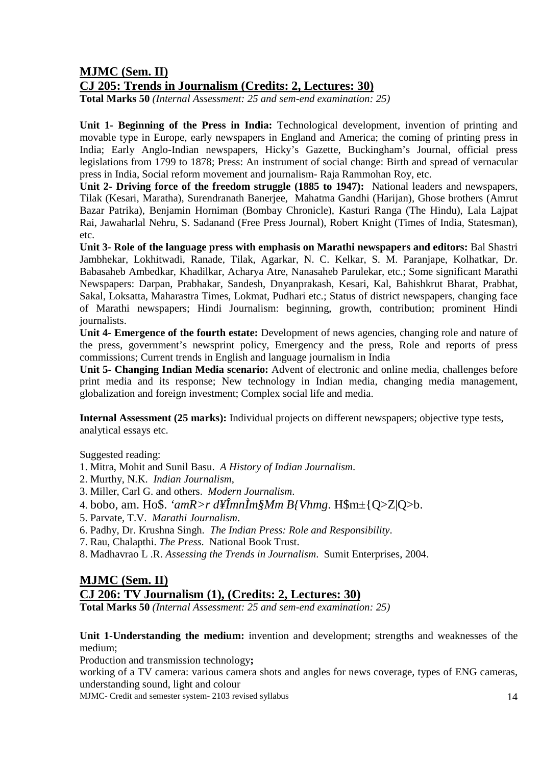#### **MJMC (Sem. II) CJ 205: Trends in Journalism (Credits: 2, Lectures: 30)**

**Total Marks 50** *(Internal Assessment: 25 and sem-end examination: 25)*

**Unit 1- Beginning of the Press in India:** Technological development, invention of printing and movable type in Europe, early newspapers in England and America; the coming of printing press in India; Early Anglo-Indian newspapers, Hicky's Gazette, Buckingham's Journal, official press legislations from 1799 to 1878; Press: An instrument of social change: Birth and spread of vernacular press in India, Social reform movement and journalism- Raja Rammohan Roy, etc.

**Unit 2- Driving force of the freedom struggle (1885 to 1947):** National leaders and newspapers, Tilak (Kesari, Maratha), Surendranath Banerjee, Mahatma Gandhi (Harijan), Ghose brothers (Amrut Bazar Patrika), Benjamin Horniman (Bombay Chronicle), Kasturi Ranga (The Hindu), Lala Lajpat Rai, Jawaharlal Nehru, S. Sadanand (Free Press Journal), Robert Knight (Times of India, Statesman), etc.

**Unit 3- Role of the language press with emphasis on Marathi newspapers and editors:** Bal Shastri Jambhekar, Lokhitwadi, Ranade, Tilak, Agarkar, N. C. Kelkar, S. M. Paranjape, Kolhatkar, Dr. Babasaheb Ambedkar, Khadilkar, Acharya Atre, Nanasaheb Parulekar, etc.; Some significant Marathi Newspapers: Darpan, Prabhakar, Sandesh, Dnyanprakash, Kesari, Kal, Bahishkrut Bharat, Prabhat, Sakal, Loksatta, Maharastra Times, Lokmat, Pudhari etc.; Status of district newspapers, changing face of Marathi newspapers; Hindi Journalism: beginning, growth, contribution; prominent Hindi journalists.

**Unit 4- Emergence of the fourth estate:** Development of news agencies, changing role and nature of the press, government's newsprint policy, Emergency and the press, Role and reports of press commissions; Current trends in English and language journalism in India

**Unit 5- Changing Indian Media scenario:** Advent of electronic and online media, challenges before print media and its response; New technology in Indian media, changing media management, globalization and foreign investment; Complex social life and media.

**Internal Assessment (25 marks):** Individual projects on different newspapers; objective type tests, analytical essays etc.

Suggested reading:

- 1. Mitra, Mohit and Sunil Basu. *A History of Indian Journalism*.
- 2. Murthy, N.K. *Indian Journalism*,
- 3. Miller, Carl G. and others. *Modern Journalism*.
- 4. bobo, am. Ho\$. *'amR>r d¥ÎmnÌm§Mm B{Vhmg*. H\$m±{Q>Z|Q>b.
- 5. Parvate, T.V. *Marathi Journalism*.
- 6. Padhy, Dr. Krushna Singh. *The Indian Press: Role and Responsibility*.
- 7. Rau, Chalapthi. *The Press*. National Book Trust.
- 8. Madhavrao L .R. *Assessing the Trends in Journalism*. Sumit Enterprises, 2004.

# **MJMC (Sem. II) CJ 206: TV Journalism (1), (Credits: 2, Lectures: 30)**

**Total Marks 50** *(Internal Assessment: 25 and sem-end examination: 25)*

**Unit 1-Understanding the medium:** invention and development; strengths and weaknesses of the medium;

Production and transmission technology**;** 

working of a TV camera: various camera shots and angles for news coverage, types of ENG cameras, understanding sound, light and colour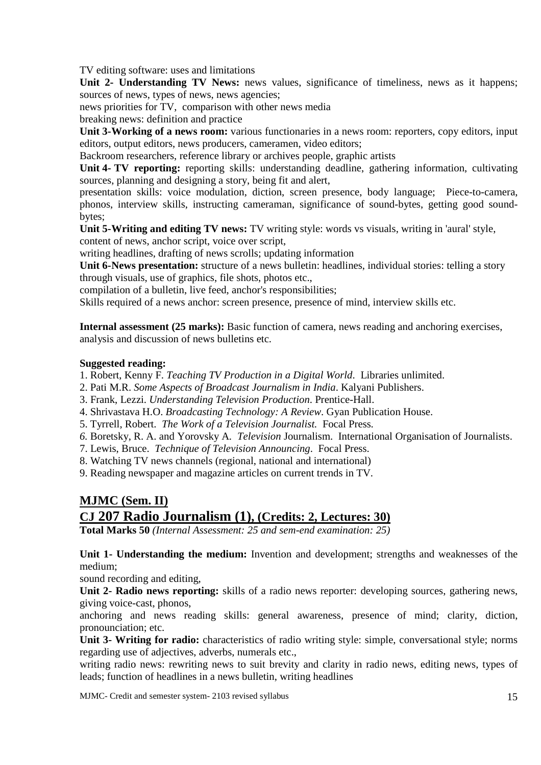TV editing software: uses and limitations

Unit 2- Understanding TV News: news values, significance of timeliness, news as it happens; sources of news, types of news, news agencies;

news priorities for TV, comparison with other news media

breaking news: definition and practice

**Unit 3- Working of a news room:** various functionaries in a news room: reporters, copy editors, input editors, output editors, news producers, cameramen, video editors;

Backroom researchers, reference library or archives people, graphic artists

**Unit 4- TV reporting:** reporting skills: understanding deadline, gathering information, cultivating sources, planning and designing a story, being fit and alert,

presentation skills: voice modulation, diction, screen presence, body language; Piece-to-camera, phonos, interview skills, instructing cameraman, significance of sound-bytes, getting good soundbytes;

**Unit 5- Writing and editing TV news:** TV writing style: words vs visuals, writing in 'aural' style, content of news, anchor script, voice over script,

writing headlines, drafting of news scrolls; updating information

**Unit 6-News presentation:** structure of a news bulletin: headlines, individual stories: telling a story through visuals, use of graphics, file shots, photos etc.,

compilation of a bulletin, live feed, anchor's responsibilities;

Skills required of a news anchor: screen presence, presence of mind, interview skills etc.

**Internal assessment (25 marks):** Basic function of camera, news reading and anchoring exercises, analysis and discussion of news bulletins etc.

#### **Suggested reading:**

1. Robert, Kenny F. *Teaching TV Production in a Digital World*. Libraries unlimited.

- 2. Pati M.R. *Some Aspects of Broadcast Journalism in India*. Kalyani Publishers.
- 3. Frank, Lezzi. *Understanding Television Production*. Prentice-Hall.
- 4. Shrivastava H.O. *Broadcasting Technology: A Review*. Gyan Publication House.
- 5. Tyrrell, Robert. *The Work of a Television Journalist.* Focal Press*.*
- *6.* Boretsky, R. A. and Yorovsky A*. Television* Journalism. International Organisation of Journalists.

7. Lewis, Bruce. *Technique of Television Announcing*. Focal Press.

8. Watching TV news channels (regional, national and international)

9. Reading newspaper and magazine articles on current trends in TV.

# **MJMC (Sem. II) CJ 207 Radio Journalism (1), (Credits: 2, Lectures: 30)**

**Total Marks 50** *(Internal Assessment: 25 and sem-end examination: 25)*

**Unit 1- Understanding the medium:** Invention and development; strengths and weaknesses of the medium;

sound recording and editing,

**Unit 2- Radio news reporting:** skills of a radio news reporter: developing sources, gathering news, giving voice-cast, phonos,

anchoring and news reading skills: general awareness, presence of mind; clarity, diction, pronounciation; etc.

**Unit 3- Writing for radio:** characteristics of radio writing style: simple, conversational style; norms regarding use of adjectives, adverbs, numerals etc.,

writing radio news: rewriting news to suit brevity and clarity in radio news, editing news, types of leads; function of headlines in a news bulletin, writing headlines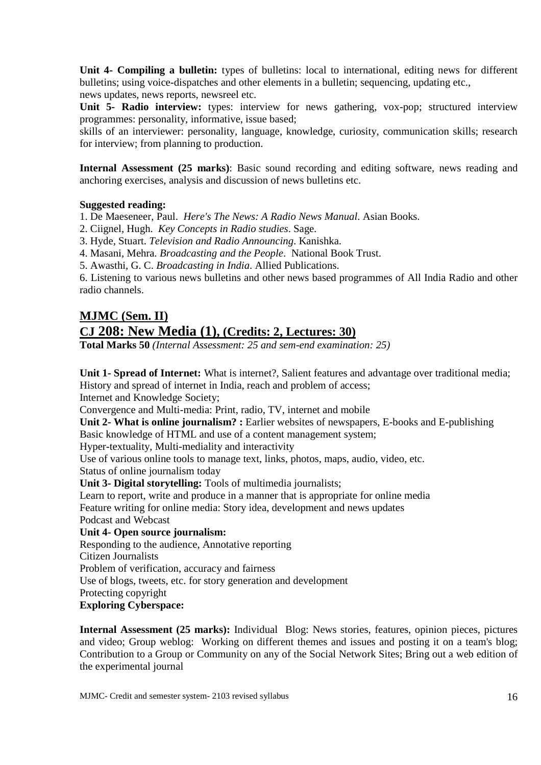**Unit 4- Compiling a bulletin:** types of bulletins: local to international, editing news for different bulletins; using voice-dispatches and other elements in a bulletin; sequencing, updating etc., news updates, news reports, newsreel etc.

**Unit 5- Radio interview:** types: interview for news gathering, vox-pop; structured interview programmes: personality, informative, issue based;

skills of an interviewer: personality, language, knowledge, curiosity, communication skills; research for interview; from planning to production.

**Internal Assessment (25 marks)**: Basic sound recording and editing software, news reading and anchoring exercises, analysis and discussion of news bulletins etc.

#### **Suggested reading:**

1. De Maeseneer, Paul. *Here's The News: A Radio News Manual*. Asian Books.

2. Ciignel, Hugh. *Key Concepts in Radio studies*. Sage.

3. Hyde, Stuart. *Television and Radio Announcing*. Kanishka.

4. Masani, Mehra. *Broadcasting and the People*. National Book Trust.

5. Awasthi, G. C. *Broadcasting in India*. Allied Publications.

6. Listening to various news bulletins and other news based programmes of All India Radio and other radio channels.

# **MJMC (Sem. II) CJ 208: New Media (1), (Credits: 2, Lectures: 30)**

**Total Marks 50** *(Internal Assessment: 25 and sem-end examination: 25)*

**Unit 1- Spread of Internet:** What is internet?, Salient features and advantage over traditional media; History and spread of internet in India, reach and problem of access;

Internet and Knowledge Society;

Convergence and Multi-media: Print, radio, TV, internet and mobile

Unit 2- What is online journalism? : Earlier websites of newspapers, E-books and E-publishing Basic knowledge of HTML and use of a content management system;

Hyper-textuality, Multi-mediality and interactivity

Use of various online tools to manage text, links, photos, maps, audio, video, etc.

Status of online journalism today

**Unit 3- Digital storytelling:** Tools of multimedia journalists;

Learn to report, write and produce in a manner that is appropriate for online media

Feature writing for online media: Story idea, development and news updates

Podcast and Webcast

**Unit 4- Open source journalism:** 

Responding to the audience, Annotative reporting

Citizen Journalists

Problem of verification, accuracy and fairness

Use of blogs, tweets, etc. for story generation and development

Protecting copyright

#### **Exploring Cyberspace:**

**Internal Assessment (25 marks):** Individual Blog: News stories, features, opinion pieces, pictures and video; Group weblog: Working on different themes and issues and posting it on a team's blog; Contribution to a Group or Community on any of the Social Network Sites; Bring out a web edition of the experimental journal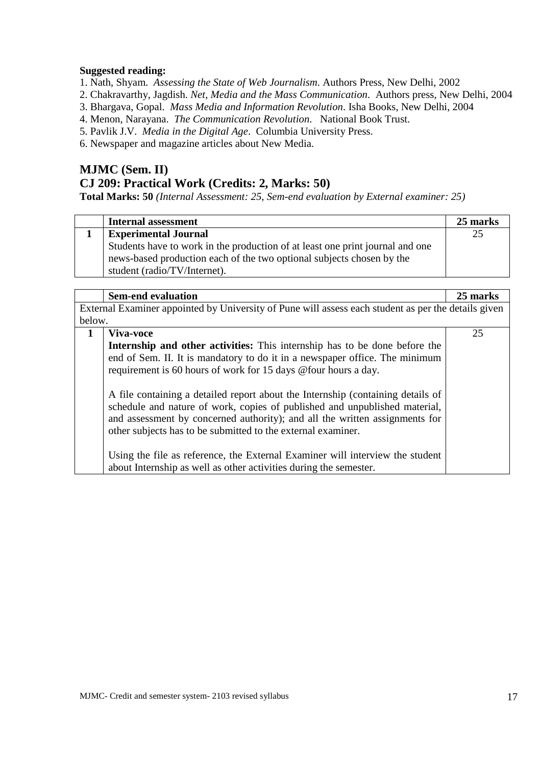#### **Suggested reading:**

1. Nath, Shyam. *Assessing the State of Web Journalism*. Authors Press, New Delhi, 2002

2. Chakravarthy, Jagdish. *Net, Media and the Mass Communication*. Authors press, New Delhi, 2004

3. Bhargava, Gopal. *Mass Media and Information Revolution*. Isha Books, New Delhi, 2004

4. Menon, Narayana. *The Communication Revolution*. National Book Trust.

5. Pavlik J.V. *Media in the Digital Age*. Columbia University Press.

6. Newspaper and magazine articles about New Media.

# **MJMC (Sem. II) CJ 209: Practical Work (Credits: 2, Marks: 50)**

**Total Marks: 50** *(Internal Assessment: 25, Sem-end evaluation by External examiner: 25)*

| <b>Internal assessment</b>                                                    | 25 marks |
|-------------------------------------------------------------------------------|----------|
| <b>Experimental Journal</b>                                                   | 25       |
| Students have to work in the production of at least one print journal and one |          |
| news-based production each of the two optional subjects chosen by the         |          |
| student (radio/TV/Internet).                                                  |          |

|             | <b>Sem-end evaluation</b>                                                                                                                                                                                                                                                                                    | 25 marks |  |
|-------------|--------------------------------------------------------------------------------------------------------------------------------------------------------------------------------------------------------------------------------------------------------------------------------------------------------------|----------|--|
|             | External Examiner appointed by University of Pune will assess each student as per the details given                                                                                                                                                                                                          |          |  |
| below.      |                                                                                                                                                                                                                                                                                                              |          |  |
| $\mathbf 1$ | Viva-voce                                                                                                                                                                                                                                                                                                    | 25       |  |
|             | <b>Internship and other activities:</b> This internship has to be done before the<br>end of Sem. II. It is mandatory to do it in a newspaper office. The minimum<br>requirement is 60 hours of work for 15 days @ four hours a day.                                                                          |          |  |
|             | A file containing a detailed report about the Internship (containing details of<br>schedule and nature of work, copies of published and unpublished material,<br>and assessment by concerned authority); and all the written assignments for<br>other subjects has to be submitted to the external examiner. |          |  |
|             | Using the file as reference, the External Examiner will interview the student<br>about Internship as well as other activities during the semester.                                                                                                                                                           |          |  |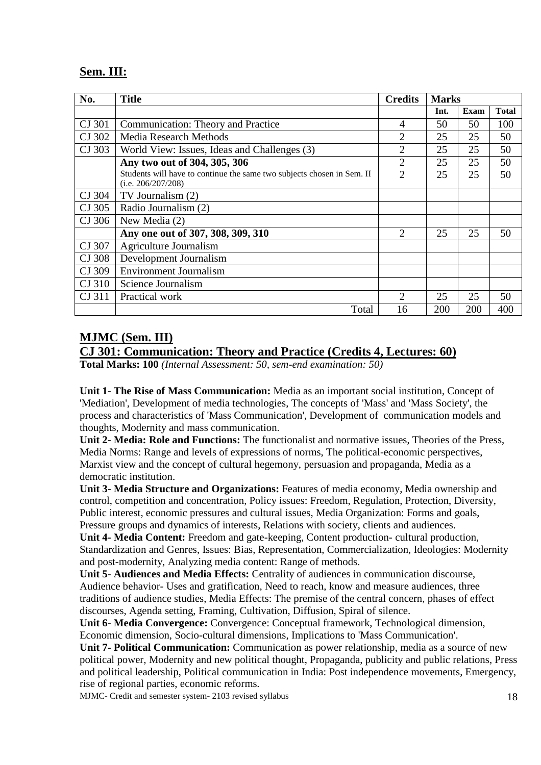## **Sem. III:**

| No.    | <b>Title</b>                                                                                 | <b>Credits</b> |      | <b>Marks</b> |              |
|--------|----------------------------------------------------------------------------------------------|----------------|------|--------------|--------------|
|        |                                                                                              |                | Int. | <b>Exam</b>  | <b>Total</b> |
| CJ 301 | Communication: Theory and Practice                                                           | $\overline{4}$ | 50   | 50           | 100          |
| CJ 302 | <b>Media Research Methods</b>                                                                | 2              | 25   | 25           | 50           |
| CJ 303 | World View: Issues, Ideas and Challenges (3)                                                 | $\overline{2}$ | 25   | 25           | 50           |
|        | Any two out of 304, 305, 306                                                                 | $\overline{2}$ | 25   | 25           | 50           |
|        | Students will have to continue the same two subjects chosen in Sem. II<br>(i.e. 206/207/208) | $\overline{2}$ | 25   | 25           | 50           |
| CJ 304 | TV Journalism (2)                                                                            |                |      |              |              |
| CJ 305 | Radio Journalism (2)                                                                         |                |      |              |              |
| CJ 306 | New Media (2)                                                                                |                |      |              |              |
|        | Any one out of 307, 308, 309, 310                                                            | $\overline{2}$ | 25   | 25           | 50           |
| CJ 307 | Agriculture Journalism                                                                       |                |      |              |              |
| CJ 308 | Development Journalism                                                                       |                |      |              |              |
| CJ 309 | <b>Environment Journalism</b>                                                                |                |      |              |              |
| CJ 310 | Science Journalism                                                                           |                |      |              |              |
| CJ 311 | Practical work                                                                               | 2              | 25   | 25           | 50           |
|        | Total                                                                                        | 16             | 200  | 200          | 400          |

## **MJMC (Sem. III)**

## **CJ 301: Communication: Theory and Practice (Credits 4, Lectures: 60)**

**Total Marks: 100** *(Internal Assessment: 50, sem-end examination: 50)*

**Unit 1- The Rise of Mass Communication:** Media as an important social institution, Concept of 'Mediation', Development of media technologies, The concepts of 'Mass' and 'Mass Society', the process and characteristics of 'Mass Communication', Development of communication models and thoughts, Modernity and mass communication.

**Unit 2- Media: Role and Functions:** The functionalist and normative issues, Theories of the Press, Media Norms: Range and levels of expressions of norms, The political-economic perspectives, Marxist view and the concept of cultural hegemony, persuasion and propaganda, Media as a democratic institution.

**Unit 3- Media Structure and Organizations:** Features of media economy, Media ownership and control, competition and concentration, Policy issues: Freedom, Regulation, Protection, Diversity, Public interest, economic pressures and cultural issues, Media Organization: Forms and goals, Pressure groups and dynamics of interests, Relations with society, clients and audiences.

**Unit 4- Media Content:** Freedom and gate-keeping, Content production- cultural production, Standardization and Genres, Issues: Bias, Representation, Commercialization, Ideologies: Modernity and post-modernity, Analyzing media content: Range of methods.

**Unit 5- Audiences and Media Effects:** Centrality of audiences in communication discourse, Audience behavior- Uses and gratification, Need to reach, know and measure audiences, three traditions of audience studies, Media Effects: The premise of the central concern, phases of effect discourses, Agenda setting, Framing, Cultivation, Diffusion, Spiral of silence.

**Unit 6- Media Convergence:** Convergence: Conceptual framework, Technological dimension, Economic dimension, Socio-cultural dimensions, Implications to 'Mass Communication'.

**Unit 7- Political Communication:** Communication as power relationship, media as a source of new political power, Modernity and new political thought, Propaganda, publicity and public relations, Press and political leadership, Political communication in India: Post independence movements, Emergency, rise of regional parties, economic reforms.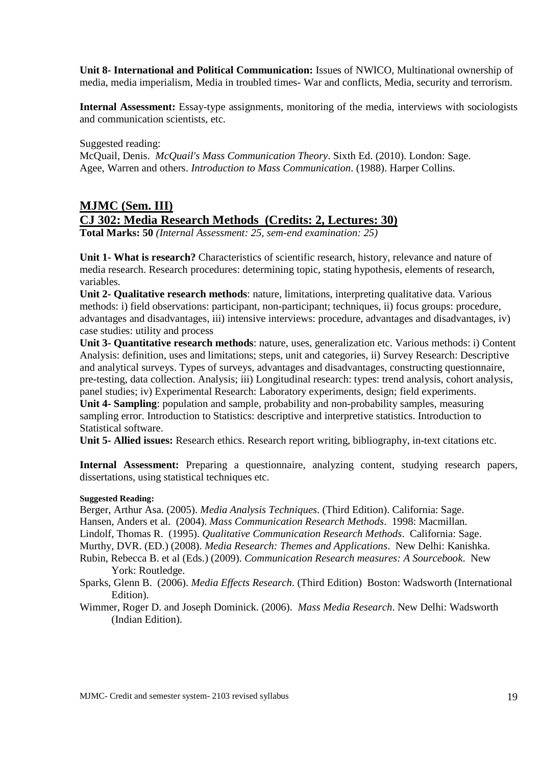**Unit 8- International and Political Communication:** Issues of NWICO, Multinational ownership of media, media imperialism, Media in troubled times- War and conflicts, Media, security and terrorism.

**Internal Assessment:** Essay-type assignments, monitoring of the media, interviews with sociologists and communication scientists, etc.

Suggested reading:

McQuail, Denis. *McQuail's Mass Communication Theory*. Sixth Ed. (2010). London: Sage. Agee, Warren and others. *Introduction to Mass Communication*. (1988). Harper Collins.

# **MJMC (Sem. III) CJ 302: Media Research Methods (Credits: 2, Lectures: 30)**

**Total Marks: 50** *(Internal Assessment: 25, sem-end examination: 25)*

**Unit 1- What is research?** Characteristics of scientific research, history, relevance and nature of media research. Research procedures: determining topic, stating hypothesis, elements of research, variables.

**Unit 2- Qualitative research methods**: nature, limitations, interpreting qualitative data. Various methods: i) field observations: participant, non-participant; techniques, ii) focus groups: procedure, advantages and disadvantages, iii) intensive interviews: procedure, advantages and disadvantages, iv) case studies: utility and process

**Unit 3- Quantitative research methods**: nature, uses, generalization etc. Various methods: i) Content Analysis: definition, uses and limitations; steps, unit and categories, ii) Survey Research: Descriptive and analytical surveys. Types of surveys, advantages and disadvantages, constructing questionnaire, pre-testing, data collection. Analysis; iii) Longitudinal research: types: trend analysis, cohort analysis, panel studies; iv) Experimental Research: Laboratory experiments, design; field experiments. **Unit 4- Sampling**: population and sample, probability and non-probability samples, measuring

sampling error. Introduction to Statistics: descriptive and interpretive statistics. Introduction to Statistical software.

**Unit 5- Allied issues:** Research ethics. Research report writing, bibliography, in-text citations etc.

**Internal Assessment:** Preparing a questionnaire, analyzing content, studying research papers, dissertations, using statistical techniques etc.

#### **Suggested Reading:**

Berger, Arthur Asa. (2005). *Media Analysis Techniques*. (Third Edition). California: Sage.

Hansen, Anders et al. (2004). *Mass Communication Research Methods*. 1998: Macmillan.

Lindolf, Thomas R. (1995). *Qualitative Communication Research Methods*. California: Sage.

Murthy, DVR. (ED.) (2008). *Media Research: Themes and Applications*. New Delhi: Kanishka.

- Rubin, Rebecca B. et al (Eds.) (2009). *Communication Research measures: A Sourcebook*. New York: Routledge.
- Sparks, Glenn B. (2006). *Media Effects Research.* (Third Edition) Boston: Wadsworth (International Edition).
- Wimmer, Roger D. and Joseph Dominick. (2006). *Mass Media Research*. New Delhi: Wadsworth (Indian Edition).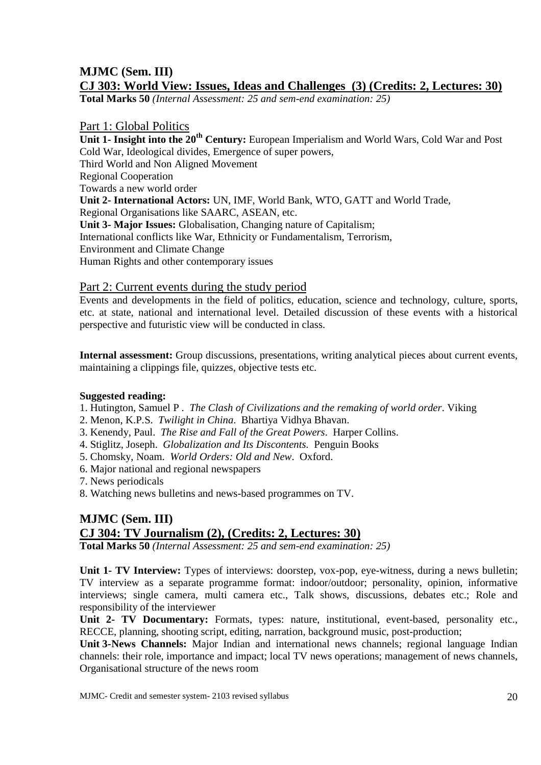# **MJMC (Sem. III)**

# **CJ 303: World View: Issues, Ideas and Challenges (3) (Credits: 2, Lectures: 30)**

**Total Marks 50** *(Internal Assessment: 25 and sem-end examination: 25)*

#### Part 1: Global Politics

**Unit 1- Insight into the 20th Century:** European Imperialism and World Wars, Cold War and Post Cold War, Ideological divides, Emergence of super powers, Third World and Non Aligned Movement Regional Cooperation Towards a new world order **Unit 2- International Actors:** UN, IMF, World Bank, WTO, GATT and World Trade, Regional Organisations like SAARC, ASEAN, etc. **Unit 3- Major Issues:** Globalisation, Changing nature of Capitalism; International conflicts like War, Ethnicity or Fundamentalism, Terrorism, Environment and Climate Change Human Rights and other contemporary issues

#### Part 2: Current events during the study period

Events and developments in the field of politics, education, science and technology, culture, sports, etc. at state, national and international level. Detailed discussion of these events with a historical perspective and futuristic view will be conducted in class.

**Internal assessment:** Group discussions, presentations, writing analytical pieces about current events, maintaining a clippings file, quizzes, objective tests etc.

#### **Suggested reading:**

1. Hutington, Samuel P . *The Clash of Civilizations and the remaking of world order*. Viking

- 2. Menon, K.P.S. *Twilight in China*. Bhartiya Vidhya Bhavan.
- 3. Kenendy, Paul. *The Rise and Fall of the Great Powers*. Harper Collins.
- 4. Stiglitz, Joseph. *Globalization and Its Discontents.* Penguin Books
- 5. Chomsky, Noam. *World Orders: Old and New*. Oxford.
- 6. Major national and regional newspapers
- 7. News periodicals
- 8. Watching news bulletins and news-based programmes on TV.

## **MJMC (Sem. III) CJ 304: TV Journalism (2), (Credits: 2, Lectures: 30) Total Marks 50** *(Internal Assessment: 25 and sem-end examination: 25)*

**Unit 1- TV Interview:** Types of interviews: doorstep, vox-pop, eye-witness, during a news bulletin;

TV interview as a separate programme format: indoor/outdoor; personality, opinion, informative interviews; single camera, multi camera etc., Talk shows, discussions, debates etc.; Role and responsibility of the interviewer

**Unit 2- TV Documentary:** Formats, types: nature, institutional, event-based, personality etc., RECCE, planning, shooting script, editing, narration, background music, post-production;

**Unit 3- News Channels:** Major Indian and international news channels; regional language Indian channels: their role, importance and impact; local TV news operations; management of news channels, Organisational structure of the news room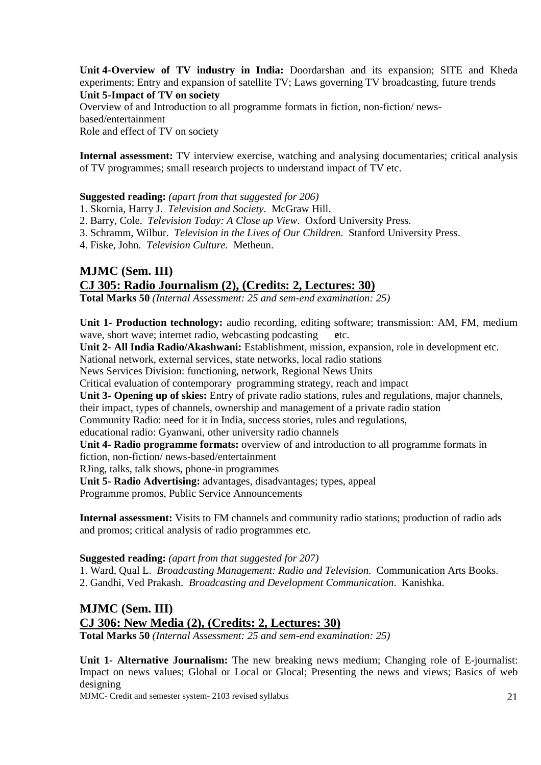**Unit 4- Overview of TV industry in India:** Doordarshan and its expansion; SITE and Kheda experiments; Entry and expansion of satellite TV; Laws governing TV broadcasting, future trends **Unit 5- Impact of TV on society** 

Overview of and Introduction to all programme formats in fiction, non-fiction/ newsbased/entertainment Role and effect of TV on society

**Internal assessment:** TV interview exercise, watching and analysing documentaries; critical analysis of TV programmes; small research projects to understand impact of TV etc.

#### **Suggested reading:** *(apart from that suggested for 206)*

1. Skornia, Harry J. *Television and Society*. McGraw Hill.

2. Barry, Cole. *Television Today: A Close up View*. Oxford University Press.

- 3. Schramm, Wilbur. *Television in the Lives of Our Children*. Stanford University Press.
- 4. Fiske, John. *Television Culture*. Metheun.

# **MJMC (Sem. III) CJ 305: Radio Journalism (2), (Credits: 2, Lectures: 30)**

**Total Marks 50** *(Internal Assessment: 25 and sem-end examination: 25)* 

**Unit 1- Production technology:** audio recording, editing software; transmission: AM, FM, medium wave, short wave; internet radio, webcasting podcasting etc.

**Unit 2- All India Radio/Akashwani:** Establishment, mission, expansion, role in development etc.

National network, external services, state networks, local radio stations

News Services Division: functioning, network, Regional News Units

Critical evaluation of contemporary programming strategy, reach and impact

**Unit 3- Opening up of skies:** Entry of private radio stations, rules and regulations, major channels, their impact, types of channels, ownership and management of a private radio station

Community Radio: need for it in India, success stories, rules and regulations,

educational radio: Gyanwani, other university radio channels

**Unit 4- Radio programme formats:** overview of and introduction to all programme formats in

fiction, non-fiction/ news-based/entertainment

RJing, talks, talk shows, phone-in programmes

**Unit 5- Radio Advertising:** advantages, disadvantages; types, appeal

Programme promos, Public Service Announcements

**Internal assessment:** Visits to FM channels and community radio stations; production of radio ads and promos; critical analysis of radio programmes etc.

#### **Suggested reading:** *(apart from that suggested for 207)*

1. Ward, Qual L. *Broadcasting Management: Radio and Television*. Communication Arts Books.

2. Gandhi, Ved Prakash. *Broadcasting and Development Communication*. Kanishka.

#### **MJMC (Sem. III) CJ 306: New Media (2), (Credits: 2, Lectures: 30) Total Marks 50** *(Internal Assessment: 25 and sem-end examination: 25)*

**Unit 1- Alternative Journalism:** The new breaking news medium; Changing role of E-journalist: Impact on news values; Global or Local or Glocal; Presenting the news and views; Basics of web designing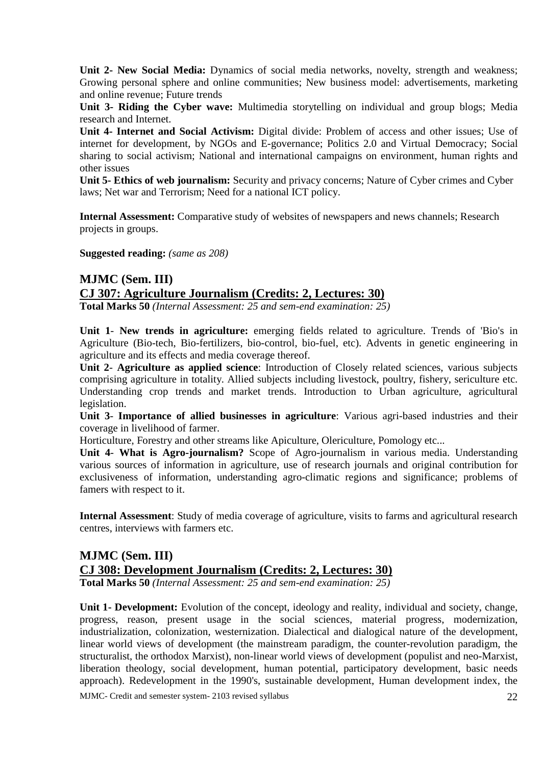**Unit 2- New Social Media:** Dynamics of social media networks, novelty, strength and weakness; Growing personal sphere and online communities; New business model: advertisements, marketing and online revenue; Future trends

**Unit 3- Riding the Cyber wave:** Multimedia storytelling on individual and group blogs; Media research and Internet.

**Unit 4- Internet and Social Activism:** Digital divide: Problem of access and other issues; Use of internet for development, by NGOs and E-governance; Politics 2.0 and Virtual Democracy; Social sharing to social activism; National and international campaigns on environment, human rights and other issues

**Unit 5- Ethics of web journalism:** Security and privacy concerns; Nature of Cyber crimes and Cyber laws; Net war and Terrorism; Need for a national ICT policy.

**Internal Assessment:** Comparative study of websites of newspapers and news channels; Research projects in groups.

**Suggested reading:** *(same as 208)* 

#### **MJMC (Sem. III) CJ 307: Agriculture Journalism (Credits: 2, Lectures: 30) Total Marks 50** *(Internal Assessment: 25 and sem-end examination: 25)*

**Unit 1**- **New trends in agriculture:** emerging fields related to agriculture. Trends of 'Bio's in Agriculture (Bio-tech, Bio-fertilizers, bio-control, bio-fuel, etc). Advents in genetic engineering in agriculture and its effects and media coverage thereof.

**Unit 2**- **Agriculture as applied science**: Introduction of Closely related sciences, various subjects comprising agriculture in totality. Allied subjects including livestock, poultry, fishery, sericulture etc. Understanding crop trends and market trends. Introduction to Urban agriculture, agricultural legislation.

**Unit 3**- **Importance of allied businesses in agriculture**: Various agri-based industries and their coverage in livelihood of farmer.

Horticulture, Forestry and other streams like Apiculture, Olericulture, Pomology etc...

**Unit 4**- **What is Agro-journalism?** Scope of Agro-journalism in various media. Understanding various sources of information in agriculture, use of research journals and original contribution for exclusiveness of information, understanding agro-climatic regions and significance; problems of famers with respect to it.

**Internal Assessment**: Study of media coverage of agriculture, visits to farms and agricultural research centres, interviews with farmers etc.

# **MJMC (Sem. III) CJ 308: Development Journalism (Credits: 2, Lectures: 30)**

**Total Marks 50** *(Internal Assessment: 25 and sem-end examination: 25)* 

**Unit 1- Development:** Evolution of the concept, ideology and reality, individual and society, change, progress, reason, present usage in the social sciences, material progress, modernization, industrialization, colonization, westernization. Dialectical and dialogical nature of the development, linear world views of development (the mainstream paradigm, the counter-revolution paradigm, the structuralist, the orthodox Marxist), non-linear world views of development (populist and neo-Marxist, liberation theology, social development, human potential, participatory development, basic needs approach). Redevelopment in the 1990's, sustainable development, Human development index, the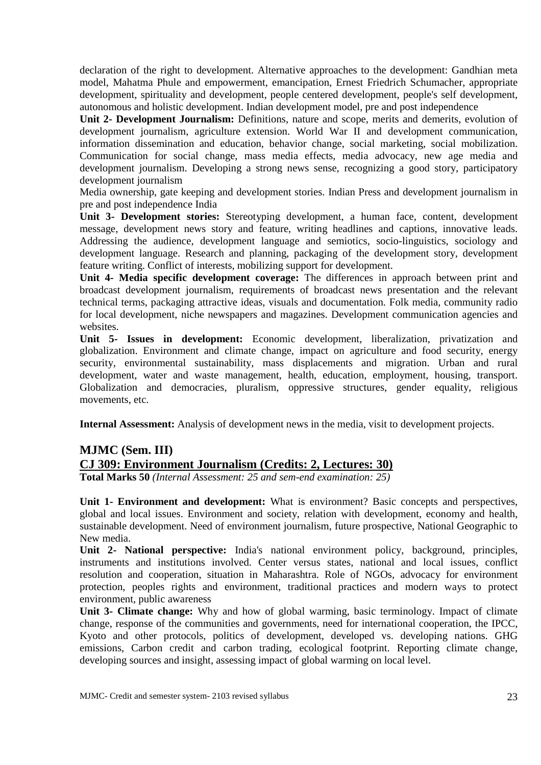declaration of the right to development. Alternative approaches to the development: Gandhian meta model, Mahatma Phule and empowerment, emancipation, Ernest Friedrich Schumacher, appropriate development, spirituality and development, people centered development, people's self development, autonomous and holistic development. Indian development model, pre and post independence

**Unit 2- Development Journalism:** Definitions, nature and scope, merits and demerits, evolution of development journalism, agriculture extension. World War II and development communication, information dissemination and education, behavior change, social marketing, social mobilization. Communication for social change, mass media effects, media advocacy, new age media and development journalism. Developing a strong news sense, recognizing a good story, participatory development journalism

Media ownership, gate keeping and development stories. Indian Press and development journalism in pre and post independence India

**Unit 3- Development stories:** Stereotyping development, a human face, content, development message, development news story and feature, writing headlines and captions, innovative leads. Addressing the audience, development language and semiotics, socio-linguistics, sociology and development language. Research and planning, packaging of the development story, development feature writing. Conflict of interests, mobilizing support for development.

**Unit 4- Media specific development coverage:** The differences in approach between print and broadcast development journalism, requirements of broadcast news presentation and the relevant technical terms, packaging attractive ideas, visuals and documentation. Folk media, community radio for local development, niche newspapers and magazines. Development communication agencies and websites.

**Unit 5- Issues in development:** Economic development, liberalization, privatization and globalization. Environment and climate change, impact on agriculture and food security, energy security, environmental sustainability, mass displacements and migration. Urban and rural development, water and waste management, health, education, employment, housing, transport. Globalization and democracies, pluralism, oppressive structures, gender equality, religious movements, etc.

**Internal Assessment:** Analysis of development news in the media, visit to development projects.

## **MJMC (Sem. III)**

## **CJ 309: Environment Journalism (Credits: 2, Lectures: 30)**

**Total Marks 50** *(Internal Assessment: 25 and sem-end examination: 25)* 

**Unit 1- Environment and development:** What is environment? Basic concepts and perspectives, global and local issues. Environment and society, relation with development, economy and health, sustainable development. Need of environment journalism, future prospective, National Geographic to New media.

**Unit 2- National perspective:** India's national environment policy, background, principles, instruments and institutions involved. Center versus states, national and local issues, conflict resolution and cooperation, situation in Maharashtra. Role of NGOs, advocacy for environment protection, peoples rights and environment, traditional practices and modern ways to protect environment, public awareness

**Unit 3- Climate change:** Why and how of global warming, basic terminology. Impact of climate change, response of the communities and governments, need for international cooperation, the IPCC, Kyoto and other protocols, politics of development, developed vs. developing nations. GHG emissions, Carbon credit and carbon trading, ecological footprint. Reporting climate change, developing sources and insight, assessing impact of global warming on local level.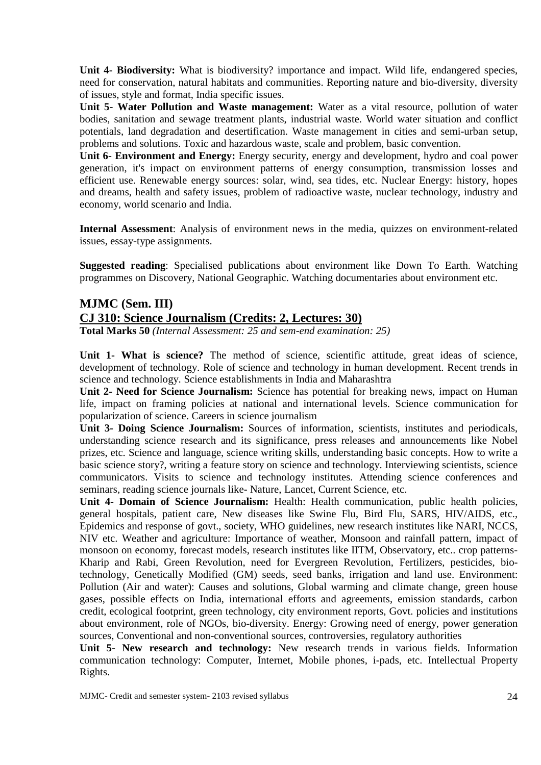**Unit 4- Biodiversity:** What is biodiversity? importance and impact. Wild life, endangered species, need for conservation, natural habitats and communities. Reporting nature and bio-diversity, diversity of issues, style and format, India specific issues.

**Unit 5- Water Pollution and Waste management:** Water as a vital resource, pollution of water bodies, sanitation and sewage treatment plants, industrial waste. World water situation and conflict potentials, land degradation and desertification. Waste management in cities and semi-urban setup, problems and solutions. Toxic and hazardous waste, scale and problem, basic convention.

**Unit 6- Environment and Energy:** Energy security, energy and development, hydro and coal power generation, it's impact on environment patterns of energy consumption, transmission losses and efficient use. Renewable energy sources: solar, wind, sea tides, etc. Nuclear Energy: history, hopes and dreams, health and safety issues, problem of radioactive waste, nuclear technology, industry and economy, world scenario and India.

**Internal Assessment**: Analysis of environment news in the media, quizzes on environment-related issues, essay-type assignments.

**Suggested reading**: Specialised publications about environment like Down To Earth. Watching programmes on Discovery, National Geographic. Watching documentaries about environment etc.

# **MJMC (Sem. III) CJ 310: Science Journalism (Credits: 2, Lectures: 30)**

**Total Marks 50** *(Internal Assessment: 25 and sem-end examination: 25)* 

Unit 1- What is science? The method of science, scientific attitude, great ideas of science, development of technology. Role of science and technology in human development. Recent trends in science and technology. Science establishments in India and Maharashtra

**Unit 2- Need for Science Journalism:** Science has potential for breaking news, impact on Human life, impact on framing policies at national and international levels. Science communication for popularization of science. Careers in science journalism

**Unit 3- Doing Science Journalism:** Sources of information, scientists, institutes and periodicals, understanding science research and its significance, press releases and announcements like Nobel prizes, etc. Science and language, science writing skills, understanding basic concepts. How to write a basic science story?, writing a feature story on science and technology. Interviewing scientists, science communicators. Visits to science and technology institutes. Attending science conferences and seminars, reading science journals like- Nature, Lancet, Current Science, etc.

**Unit 4- Domain of Science Journalism:** Health: Health communication, public health policies, general hospitals, patient care, New diseases like Swine Flu, Bird Flu, SARS, HIV/AIDS, etc., Epidemics and response of govt., society, WHO guidelines, new research institutes like NARI, NCCS, NIV etc. Weather and agriculture: Importance of weather, Monsoon and rainfall pattern, impact of monsoon on economy, forecast models, research institutes like IITM, Observatory, etc.. crop patterns-Kharip and Rabi, Green Revolution, need for Evergreen Revolution, Fertilizers, pesticides, biotechnology, Genetically Modified (GM) seeds, seed banks, irrigation and land use. Environment: Pollution (Air and water): Causes and solutions, Global warming and climate change, green house gases, possible effects on India, international efforts and agreements, emission standards, carbon credit, ecological footprint, green technology, city environment reports, Govt. policies and institutions about environment, role of NGOs, bio-diversity. Energy: Growing need of energy, power generation sources, Conventional and non-conventional sources, controversies, regulatory authorities

**Unit 5- New research and technology:** New research trends in various fields. Information communication technology: Computer, Internet, Mobile phones, i-pads, etc. Intellectual Property Rights.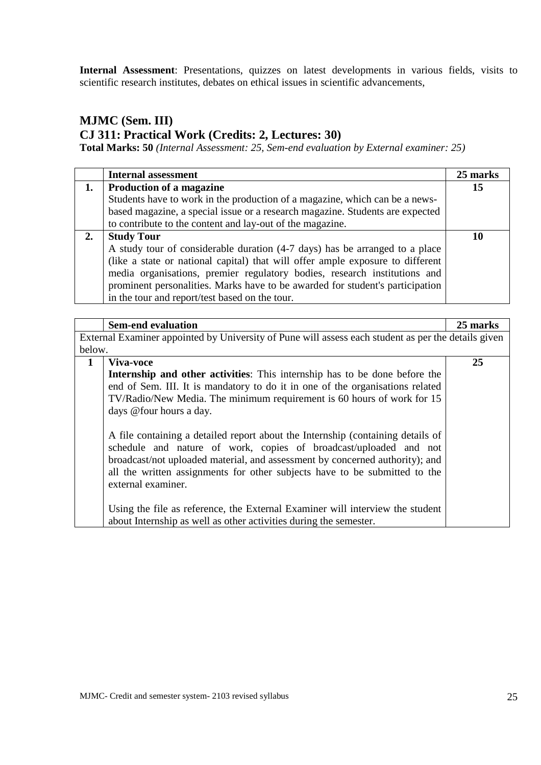**Internal Assessment**: Presentations, quizzes on latest developments in various fields, visits to scientific research institutes, debates on ethical issues in scientific advancements,

# **MJMC (Sem. III) CJ 311: Practical Work (Credits: 2, Lectures: 30)**

**Total Marks: 50** *(Internal Assessment: 25, Sem-end evaluation by External examiner: 25)*

|    | <b>Internal assessment</b>                                                     | 25 marks |
|----|--------------------------------------------------------------------------------|----------|
| 1. | Production of a magazine                                                       | 15       |
|    | Students have to work in the production of a magazine, which can be a news-    |          |
|    | based magazine, a special issue or a research magazine. Students are expected  |          |
|    | to contribute to the content and lay-out of the magazine.                      |          |
| 2. | <b>Study Tour</b>                                                              | 10       |
|    | A study tour of considerable duration (4-7 days) has be arranged to a place    |          |
|    | (like a state or national capital) that will offer ample exposure to different |          |
|    | media organisations, premier regulatory bodies, research institutions and      |          |
|    | prominent personalities. Marks have to be awarded for student's participation  |          |
|    | in the tour and report/test based on the tour.                                 |          |

|                                                                                                     | <b>Sem-end evaluation</b>                                                       | 25 marks |
|-----------------------------------------------------------------------------------------------------|---------------------------------------------------------------------------------|----------|
| External Examiner appointed by University of Pune will assess each student as per the details given |                                                                                 |          |
| below.                                                                                              |                                                                                 |          |
| $\mathbf{1}$                                                                                        | Viva-voce                                                                       | 25       |
|                                                                                                     | Internship and other activities: This internship has to be done before the      |          |
|                                                                                                     | end of Sem. III. It is mandatory to do it in one of the organisations related   |          |
|                                                                                                     | TV/Radio/New Media. The minimum requirement is 60 hours of work for 15          |          |
|                                                                                                     | days @four hours a day.                                                         |          |
|                                                                                                     |                                                                                 |          |
|                                                                                                     | A file containing a detailed report about the Internship (containing details of |          |
|                                                                                                     | schedule and nature of work, copies of broadcast/uploaded and not               |          |
|                                                                                                     | broadcast/not uploaded material, and assessment by concerned authority); and    |          |
|                                                                                                     | all the written assignments for other subjects have to be submitted to the      |          |
|                                                                                                     | external examiner.                                                              |          |
|                                                                                                     |                                                                                 |          |
|                                                                                                     | Using the file as reference, the External Examiner will interview the student   |          |
|                                                                                                     | about Internship as well as other activities during the semester.               |          |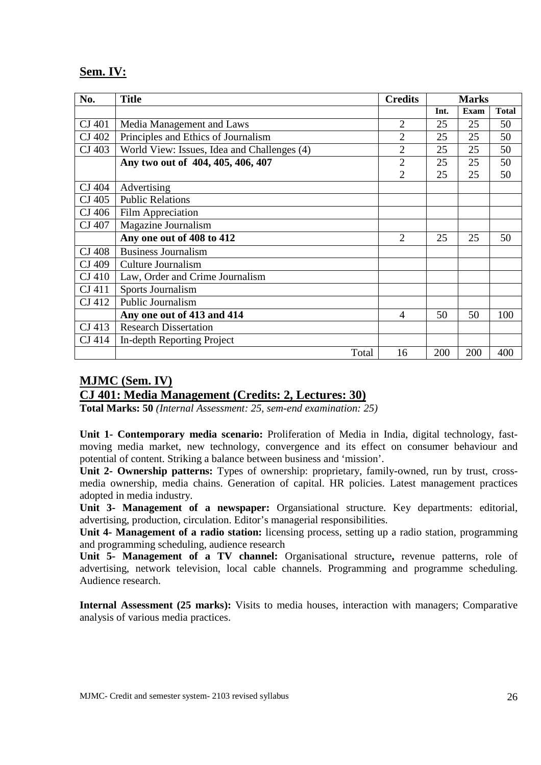## **Sem. IV:**

| No.    | <b>Title</b>                                | <b>Credits</b> |      | <b>Marks</b> |              |
|--------|---------------------------------------------|----------------|------|--------------|--------------|
|        |                                             |                | Int. | <b>Exam</b>  | <b>Total</b> |
| CJ 401 | Media Management and Laws                   | $\overline{2}$ | 25   | 25           | 50           |
| CJ 402 | Principles and Ethics of Journalism         | $\overline{2}$ | 25   | 25           | 50           |
| CJ 403 | World View: Issues, Idea and Challenges (4) | $\overline{2}$ | 25   | 25           | 50           |
|        | Any two out of 404, 405, 406, 407           | $\overline{2}$ | 25   | 25           | 50           |
|        |                                             | $\overline{2}$ | 25   | 25           | 50           |
| CJ 404 | Advertising                                 |                |      |              |              |
| CJ 405 | <b>Public Relations</b>                     |                |      |              |              |
| CJ 406 | Film Appreciation                           |                |      |              |              |
| CJ 407 | Magazine Journalism                         |                |      |              |              |
|        | Any one out of 408 to 412                   | 2              | 25   | 25           | 50           |
| CJ 408 | <b>Business Journalism</b>                  |                |      |              |              |
| CJ 409 | Culture Journalism                          |                |      |              |              |
| CJ 410 | Law, Order and Crime Journalism             |                |      |              |              |
| CJ 411 | Sports Journalism                           |                |      |              |              |
| CJ 412 | Public Journalism                           |                |      |              |              |
|        | Any one out of 413 and 414                  | 4              | 50   | 50           | 100          |
| CJ 413 | <b>Research Dissertation</b>                |                |      |              |              |
| CJ 414 | In-depth Reporting Project                  |                |      |              |              |
|        | Total                                       | 16             | 200  | 200          | 400          |

# **MJMC (Sem. IV) CJ 401: Media Management (Credits: 2, Lectures: 30)**

**Total Marks: 50** *(Internal Assessment: 25, sem-end examination: 25)*

**Unit 1- Contemporary media scenario:** Proliferation of Media in India, digital technology, fastmoving media market, new technology, convergence and its effect on consumer behaviour and potential of content. Striking a balance between business and 'mission'.

**Unit 2- Ownership patterns:** Types of ownership: proprietary, family-owned, run by trust, crossmedia ownership, media chains. Generation of capital. HR policies. Latest management practices adopted in media industry.

**Unit 3- Management of a newspaper:** Organsiational structure. Key departments: editorial, advertising, production, circulation. Editor's managerial responsibilities.

**Unit 4- Management of a radio station:** licensing process, setting up a radio station, programming and programming scheduling, audience research

**Unit 5- Management of a TV channel:** Organisational structure**,** revenue patterns, role of advertising, network television, local cable channels. Programming and programme scheduling. Audience research.

**Internal Assessment (25 marks):** Visits to media houses, interaction with managers; Comparative analysis of various media practices.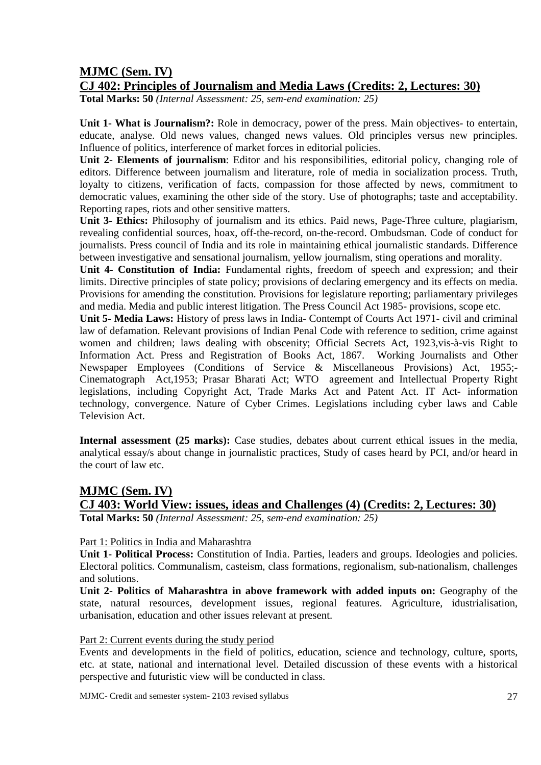## **MJMC (Sem. IV)**

## **CJ 402: Principles of Journalism and Media Laws (Credits: 2, Lectures: 30)**

**Total Marks: 50** *(Internal Assessment: 25, sem-end examination: 25)*

**Unit 1- What is Journalism?:** Role in democracy, power of the press. Main objectives- to entertain, educate, analyse. Old news values, changed news values. Old principles versus new principles. Influence of politics, interference of market forces in editorial policies.

**Unit 2- Elements of journalism**: Editor and his responsibilities, editorial policy, changing role of editors. Difference between journalism and literature, role of media in socialization process. Truth, loyalty to citizens, verification of facts, compassion for those affected by news, commitment to democratic values, examining the other side of the story. Use of photographs; taste and acceptability. Reporting rapes, riots and other sensitive matters.

**Unit 3- Ethics:** Philosophy of journalism and its ethics. Paid news, Page-Three culture, plagiarism, revealing confidential sources, hoax, off-the-record, on-the-record. Ombudsman. Code of conduct for journalists. Press council of India and its role in maintaining ethical journalistic standards. Difference between investigative and sensational journalism, yellow journalism, sting operations and morality.

**Unit 4- Constitution of India:** Fundamental rights, freedom of speech and expression; and their limits. Directive principles of state policy; provisions of declaring emergency and its effects on media. Provisions for amending the constitution. Provisions for legislature reporting; parliamentary privileges and media. Media and public interest litigation. The Press Council Act 1985- provisions, scope etc.

**Unit 5- Media Laws:** History of press laws in India- Contempt of Courts Act 1971- civil and criminal law of defamation. Relevant provisions of Indian Penal Code with reference to sedition, crime against women and children; laws dealing with obscenity; Official Secrets Act, 1923,vis-à-vis Right to Information Act. Press and Registration of Books Act, 1867. Working Journalists and Other Newspaper Employees (Conditions of Service & Miscellaneous Provisions) Act, 1955;- Cinematograph Act,1953; Prasar Bharati Act; WTO agreement and Intellectual Property Right legislations, including Copyright Act, Trade Marks Act and Patent Act. IT Act- information technology, convergence. Nature of Cyber Crimes. Legislations including cyber laws and Cable Television Act.

**Internal assessment (25 marks):** Case studies, debates about current ethical issues in the media, analytical essay/s about change in journalistic practices, Study of cases heard by PCI, and/or heard in the court of law etc.

# **MJMC (Sem. IV)**

# **CJ 403: World View: issues, ideas and Challenges (4) (Credits: 2, Lectures: 30)**

**Total Marks: 50** *(Internal Assessment: 25, sem-end examination: 25)*

#### Part 1: Politics in India and Maharashtra

**Unit 1- Political Process:** Constitution of India. Parties, leaders and groups. Ideologies and policies. Electoral politics. Communalism, casteism, class formations, regionalism, sub-nationalism, challenges and solutions.

**Unit 2- Politics of Maharashtra in above framework with added inputs on:** Geography of the state, natural resources, development issues, regional features. Agriculture, idustrialisation, urbanisation, education and other issues relevant at present.

#### Part 2: Current events during the study period

Events and developments in the field of politics, education, science and technology, culture, sports, etc. at state, national and international level. Detailed discussion of these events with a historical perspective and futuristic view will be conducted in class.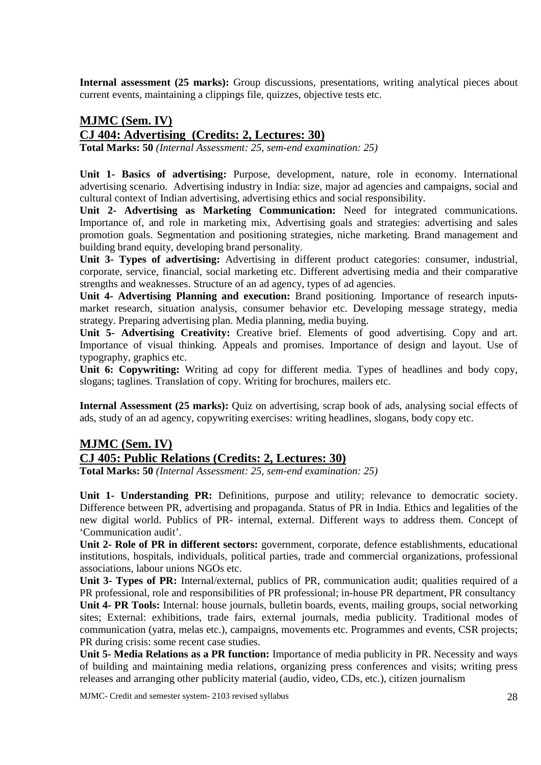Internal assessment (25 marks): Group discussions, presentations, writing analytical pieces about current events, maintaining a clippings file, quizzes, objective tests etc.

# **MJMC (Sem. IV) CJ 404: Advertising (Credits: 2, Lectures: 30)**

**Total Marks: 50** *(Internal Assessment: 25, sem-end examination: 25)*

**Unit 1- Basics of advertising:** Purpose, development, nature, role in economy. International advertising scenario. Advertising industry in India: size, major ad agencies and campaigns, social and cultural context of Indian advertising, advertising ethics and social responsibility.

**Unit 2- Advertising as Marketing Communication:** Need for integrated communications. Importance of, and role in marketing mix, Advertising goals and strategies: advertising and sales promotion goals. Segmentation and positioning strategies, niche marketing. Brand management and building brand equity, developing brand personality.

**Unit 3- Types of advertising:** Advertising in different product categories: consumer, industrial, corporate, service, financial, social marketing etc. Different advertising media and their comparative strengths and weaknesses. Structure of an ad agency, types of ad agencies.

Unit 4- Advertising Planning and execution: Brand positioning. Importance of research inputsmarket research, situation analysis, consumer behavior etc. Developing message strategy, media strategy. Preparing advertising plan. Media planning, media buying.

Unit 5- Advertising Creativity: Creative brief. Elements of good advertising. Copy and art. Importance of visual thinking. Appeals and promises. Importance of design and layout. Use of typography, graphics etc.

**Unit 6: Copywriting:** Writing ad copy for different media. Types of headlines and body copy, slogans; taglines. Translation of copy. Writing for brochures, mailers etc.

**Internal Assessment (25 marks):** Quiz on advertising, scrap book of ads, analysing social effects of ads, study of an ad agency, copywriting exercises: writing headlines, slogans, body copy etc.

## **MJMC (Sem. IV) CJ 405: Public Relations (Credits: 2, Lectures: 30)**

**Total Marks: 50** *(Internal Assessment: 25, sem-end examination: 25)*

Unit 1- Understanding PR: Definitions, purpose and utility; relevance to democratic society. Difference between PR, advertising and propaganda. Status of PR in India. Ethics and legalities of the new digital world. Publics of PR- internal, external. Different ways to address them. Concept of 'Communication audit'.

**Unit 2- Role of PR in different sectors:** government, corporate, defence establishments, educational institutions, hospitals, individuals, political parties, trade and commercial organizations, professional associations, labour unions NGOs etc.

**Unit 3- Types of PR:** Internal/external, publics of PR, communication audit; qualities required of a PR professional, role and responsibilities of PR professional; in-house PR department, PR consultancy **Unit 4- PR Tools:** Internal: house journals, bulletin boards, events, mailing groups, social networking sites; External: exhibitions, trade fairs, external journals, media publicity. Traditional modes of communication (yatra, melas etc.), campaigns, movements etc. Programmes and events, CSR projects; PR during crisis: some recent case studies.

**Unit 5- Media Relations as a PR function:** Importance of media publicity in PR. Necessity and ways of building and maintaining media relations, organizing press conferences and visits; writing press releases and arranging other publicity material (audio, video, CDs, etc.), citizen journalism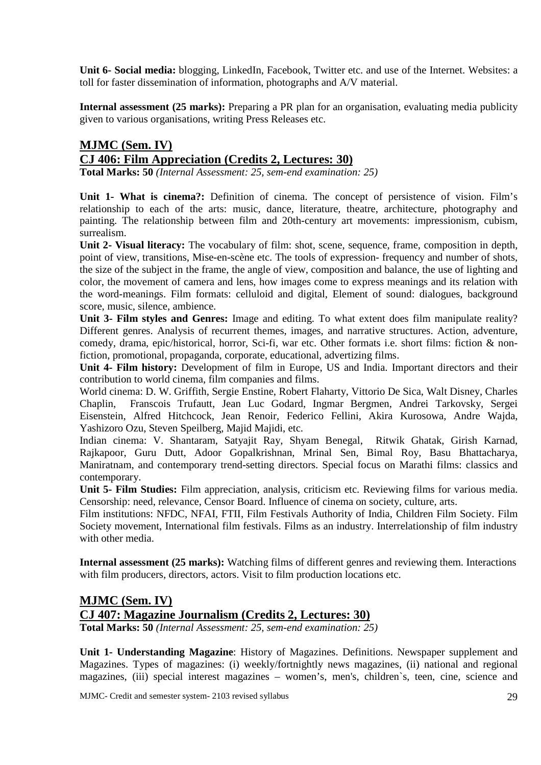**Unit 6- Social media:** blogging, LinkedIn, Facebook, Twitter etc. and use of the Internet. Websites: a toll for faster dissemination of information, photographs and A/V material.

**Internal assessment (25 marks):** Preparing a PR plan for an organisation, evaluating media publicity given to various organisations, writing Press Releases etc.

# **MJMC (Sem. IV) CJ 406: Film Appreciation (Credits 2, Lectures: 30)**

**Total Marks: 50** *(Internal Assessment: 25, sem-end examination: 25)*

**Unit 1- What is cinema?:** Definition of cinema. The concept of persistence of vision. Film's relationship to each of the arts: music, dance, literature, theatre, architecture, photography and painting. The relationship between film and 20th-century art movements: impressionism, cubism, surrealism.

**Unit 2- Visual literacy:** The vocabulary of film: shot, scene, sequence, frame, composition in depth, point of view, transitions, Mise-en-scène etc. The tools of expression- frequency and number of shots, the size of the subject in the frame, the angle of view, composition and balance, the use of lighting and color, the movement of camera and lens, how images come to express meanings and its relation with the word-meanings. Film formats: celluloid and digital, Element of sound: dialogues, background score, music, silence, ambience.

**Unit 3- Film styles and Genres:** Image and editing. To what extent does film manipulate reality? Different genres. Analysis of recurrent themes, images, and narrative structures. Action, adventure, comedy, drama, epic/historical, horror, Sci-fi, war etc. Other formats i.e. short films: fiction & nonfiction, promotional, propaganda, corporate, educational, advertizing films.

**Unit 4- Film history:** Development of film in Europe, US and India. Important directors and their contribution to world cinema, film companies and films.

World cinema: D. W. Griffith, Sergie Enstine, Robert Flaharty, Vittorio De Sica, Walt Disney, Charles Chaplin, Franscois Trufautt, Jean Luc Godard, Ingmar Bergmen, Andrei Tarkovsky, Sergei Eisenstein, Alfred Hitchcock, Jean Renoir, Federico Fellini, Akira Kurosowa, Andre Wajda, Yashizoro Ozu, Steven Speilberg, Majid Majidi, etc.

Indian cinema: V. Shantaram, Satyajit Ray, Shyam Benegal, Ritwik Ghatak, Girish Karnad, Rajkapoor, Guru Dutt, Adoor Gopalkrishnan, Mrinal Sen, Bimal Roy, Basu Bhattacharya, Maniratnam, and contemporary trend-setting directors. Special focus on Marathi films: classics and contemporary.

**Unit 5- Film Studies:** Film appreciation, analysis, criticism etc. Reviewing films for various media. Censorship: need, relevance, Censor Board. Influence of cinema on society, culture, arts.

Film institutions: NFDC, NFAI, FTII, Film Festivals Authority of India, Children Film Society. Film Society movement, International film festivals. Films as an industry. Interrelationship of film industry with other media.

**Internal assessment (25 marks):** Watching films of different genres and reviewing them. Interactions with film producers, directors, actors. Visit to film production locations etc.

## **MJMC (Sem. IV) CJ 407: Magazine Journalism (Credits 2, Lectures: 30)**

**Total Marks: 50** *(Internal Assessment: 25, sem-end examination: 25)*

**Unit 1- Understanding Magazine**: History of Magazines. Definitions. Newspaper supplement and Magazines. Types of magazines: (i) weekly/fortnightly news magazines, (ii) national and regional magazines, (iii) special interest magazines – women's, men's, children`s, teen, cine, science and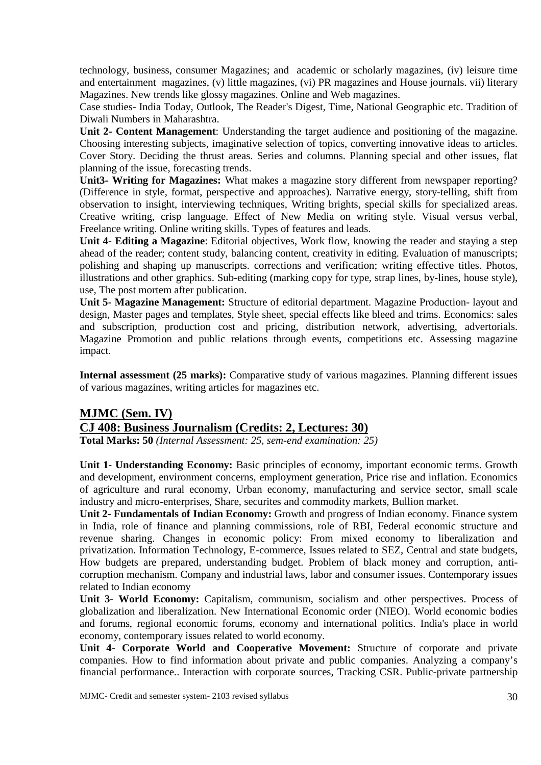technology, business, consumer Magazines; and academic or scholarly magazines, (iv) leisure time and entertainment magazines, (v) little magazines, (vi) PR magazines and House journals. vii) literary Magazines. New trends like glossy magazines. Online and Web magazines.

Case studies- India Today, Outlook, The Reader's Digest, Time, National Geographic etc. Tradition of Diwali Numbers in Maharashtra.

**Unit 2- Content Management**: Understanding the target audience and positioning of the magazine. Choosing interesting subjects, imaginative selection of topics, converting innovative ideas to articles. Cover Story. Deciding the thrust areas. Series and columns. Planning special and other issues, flat planning of the issue, forecasting trends.

**Unit3- Writing for Magazines:** What makes a magazine story different from newspaper reporting? (Difference in style, format, perspective and approaches). Narrative energy, story-telling, shift from observation to insight, interviewing techniques, Writing brights, special skills for specialized areas. Creative writing, crisp language. Effect of New Media on writing style. Visual versus verbal, Freelance writing. Online writing skills. Types of features and leads.

**Unit 4- Editing a Magazine**: Editorial objectives, Work flow, knowing the reader and staying a step ahead of the reader; content study, balancing content, creativity in editing. Evaluation of manuscripts; polishing and shaping up manuscripts. corrections and verification; writing effective titles. Photos, illustrations and other graphics. Sub-editing (marking copy for type, strap lines, by-lines, house style), use, The post mortem after publication.

**Unit 5- Magazine Management:** Structure of editorial department. Magazine Production- layout and design, Master pages and templates, Style sheet, special effects like bleed and trims. Economics: sales and subscription, production cost and pricing, distribution network, advertising, advertorials. Magazine Promotion and public relations through events, competitions etc. Assessing magazine impact.

**Internal assessment (25 marks):** Comparative study of various magazines. Planning different issues of various magazines, writing articles for magazines etc.

#### **MJMC (Sem. IV) CJ 408: Business Journalism (Credits: 2, Lectures: 30)**

**Total Marks: 50** *(Internal Assessment: 25, sem-end examination: 25)*

Unit 1- Understanding Economy: Basic principles of economy, important economic terms. Growth and development, environment concerns, employment generation, Price rise and inflation. Economics of agriculture and rural economy, Urban economy, manufacturing and service sector, small scale industry and micro-enterprises, Share, securites and commodity markets, Bullion market.

**Unit 2- Fundamentals of Indian Economy:** Growth and progress of Indian economy. Finance system in India, role of finance and planning commissions, role of RBI, Federal economic structure and revenue sharing. Changes in economic policy: From mixed economy to liberalization and privatization. Information Technology, E-commerce, Issues related to SEZ, Central and state budgets, How budgets are prepared, understanding budget. Problem of black money and corruption, anticorruption mechanism. Company and industrial laws, labor and consumer issues. Contemporary issues related to Indian economy

Unit 3- World Economy: Capitalism, communism, socialism and other perspectives. Process of globalization and liberalization. New International Economic order (NIEO). World economic bodies and forums, regional economic forums, economy and international politics. India's place in world economy, contemporary issues related to world economy.

**Unit 4- Corporate World and Cooperative Movement:** Structure of corporate and private companies. How to find information about private and public companies. Analyzing a company's financial performance.. Interaction with corporate sources, Tracking CSR. Public-private partnership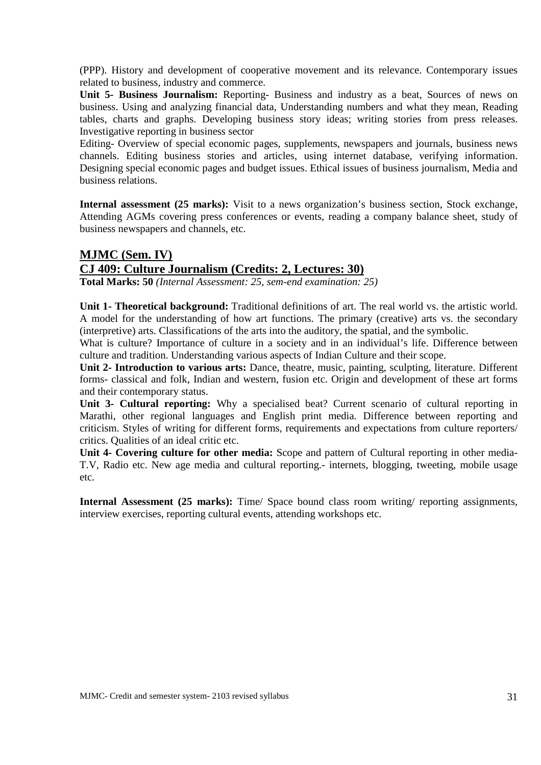(PPP). History and development of cooperative movement and its relevance. Contemporary issues related to business, industry and commerce.

**Unit 5- Business Journalism:** Reporting- Business and industry as a beat, Sources of news on business. Using and analyzing financial data, Understanding numbers and what they mean, Reading tables, charts and graphs. Developing business story ideas; writing stories from press releases. Investigative reporting in business sector

Editing- Overview of special economic pages, supplements, newspapers and journals, business news channels. Editing business stories and articles, using internet database, verifying information. Designing special economic pages and budget issues. Ethical issues of business journalism, Media and business relations.

**Internal assessment (25 marks):** Visit to a news organization's business section, Stock exchange, Attending AGMs covering press conferences or events, reading a company balance sheet, study of business newspapers and channels, etc.

# **MJMC (Sem. IV) CJ 409: Culture Journalism (Credits: 2, Lectures: 30)**

**Total Marks: 50** *(Internal Assessment: 25, sem-end examination: 25)*

**Unit 1- Theoretical background:** Traditional definitions of art. The real world vs. the artistic world. A model for the understanding of how art functions. The primary (creative) arts vs. the secondary (interpretive) arts. Classifications of the arts into the auditory, the spatial, and the symbolic.

What is culture? Importance of culture in a society and in an individual's life. Difference between culture and tradition. Understanding various aspects of Indian Culture and their scope.

**Unit 2- Introduction to various arts:** Dance, theatre, music, painting, sculpting, literature. Different forms- classical and folk, Indian and western, fusion etc. Origin and development of these art forms and their contemporary status.

**Unit 3- Cultural reporting:** Why a specialised beat? Current scenario of cultural reporting in Marathi, other regional languages and English print media. Difference between reporting and criticism. Styles of writing for different forms, requirements and expectations from culture reporters/ critics. Qualities of an ideal critic etc.

**Unit 4- Covering culture for other media:** Scope and pattern of Cultural reporting in other media-T.V, Radio etc. New age media and cultural reporting.- internets, blogging, tweeting, mobile usage etc.

**Internal Assessment (25 marks):** Time/ Space bound class room writing/ reporting assignments, interview exercises, reporting cultural events, attending workshops etc.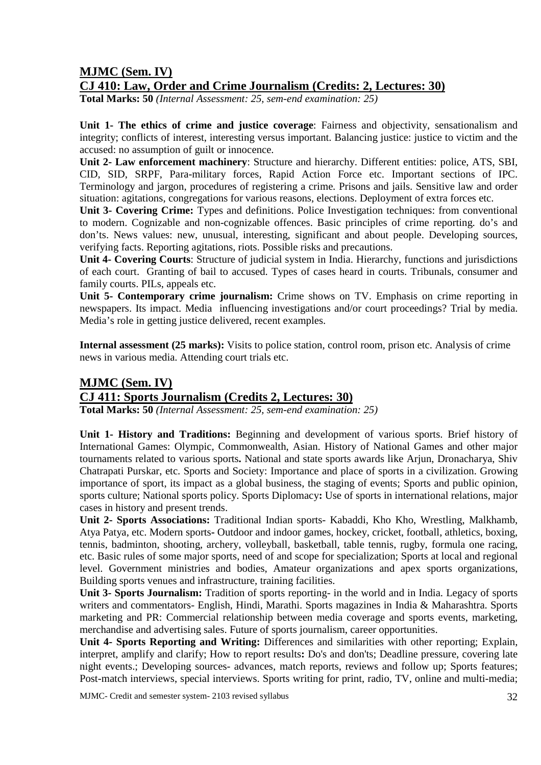# **MJMC (Sem. IV)**

# **CJ 410: Law, Order and Crime Journalism (Credits: 2, Lectures: 30)**

**Total Marks: 50** *(Internal Assessment: 25, sem-end examination: 25)*

**Unit 1- The ethics of crime and justice coverage**: Fairness and objectivity, sensationalism and integrity; conflicts of interest, interesting versus important. Balancing justice: justice to victim and the accused: no assumption of guilt or innocence.

**Unit 2- Law enforcement machinery**: Structure and hierarchy. Different entities: police, ATS, SBI, CID, SID, SRPF, Para-military forces, Rapid Action Force etc. Important sections of IPC. Terminology and jargon, procedures of registering a crime. Prisons and jails. Sensitive law and order situation: agitations, congregations for various reasons, elections. Deployment of extra forces etc.

**Unit 3- Covering Crime:** Types and definitions. Police Investigation techniques: from conventional to modern. Cognizable and non-cognizable offences. Basic principles of crime reporting. do's and don'ts. News values: new, unusual, interesting, significant and about people. Developing sources, verifying facts. Reporting agitations, riots. Possible risks and precautions.

**Unit 4- Covering Courts**: Structure of judicial system in India. Hierarchy, functions and jurisdictions of each court. Granting of bail to accused. Types of cases heard in courts. Tribunals, consumer and family courts. PILs, appeals etc.

**Unit 5- Contemporary crime journalism:** Crime shows on TV. Emphasis on crime reporting in newspapers. Its impact. Media influencing investigations and/or court proceedings? Trial by media. Media's role in getting justice delivered, recent examples.

**Internal assessment (25 marks):** Visits to police station, control room, prison etc. Analysis of crime news in various media. Attending court trials etc.

# **MJMC (Sem. IV) CJ 411: Sports Journalism (Credits 2, Lectures: 30)**

**Total Marks: 50** *(Internal Assessment: 25, sem-end examination: 25)*

**Unit 1- History and Traditions:** Beginning and development of various sports. Brief history of International Games: Olympic, Commonwealth, Asian. History of National Games and other major tournaments related to various sports**.** National and state sports awards like Arjun, Dronacharya, Shiv Chatrapati Purskar, etc. Sports and Society: Importance and place of sports in a civilization. Growing importance of sport, its impact as a global business, the staging of events; Sports and public opinion, sports culture; National sports policy. Sports Diplomacy**:** Use of sports in international relations, major cases in history and present trends.

**Unit 2- Sports Associations:** Traditional Indian sports- Kabaddi, Kho Kho, Wrestling, Malkhamb, Atya Patya, etc. Modern sports**-** Outdoor and indoor games, hockey, cricket, football, athletics, boxing, tennis, badminton, shooting, archery, volleyball, basketball, table tennis, rugby, formula one racing, etc. Basic rules of some major sports, need of and scope for specialization; Sports at local and regional level. Government ministries and bodies, Amateur organizations and apex sports organizations, Building sports venues and infrastructure, training facilities.

**Unit 3- Sports Journalism:** Tradition of sports reporting- in the world and in India. Legacy of sports writers and commentators- English, Hindi, Marathi. Sports magazines in India & Maharashtra. Sports marketing and PR: Commercial relationship between media coverage and sports events, marketing, merchandise and advertising sales. Future of sports journalism, career opportunities.

**Unit 4- Sports Reporting and Writing:** Differences and similarities with other reporting; Explain, interpret, amplify and clarify; How to report results**:** Do's and don'ts; Deadline pressure, covering late night events.; Developing sources- advances, match reports, reviews and follow up; Sports features; Post-match interviews, special interviews. Sports writing for print, radio, TV, online and multi-media;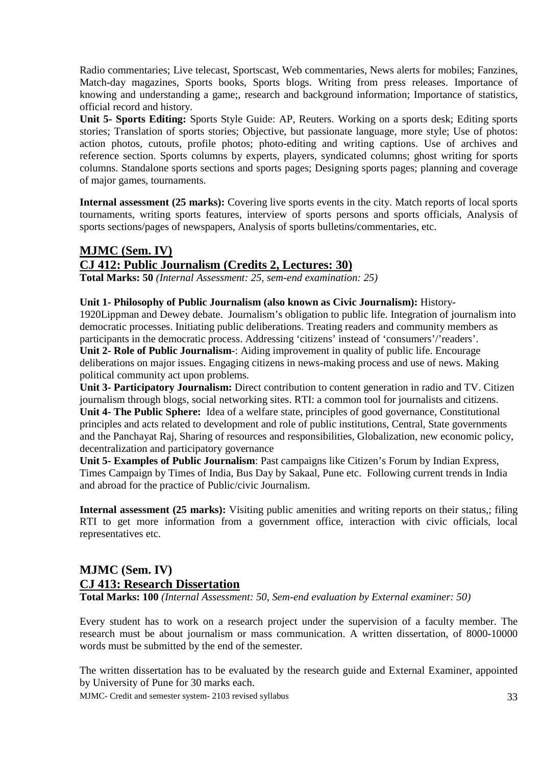Radio commentaries; Live telecast, Sportscast, Web commentaries, News alerts for mobiles; Fanzines, Match-day magazines, Sports books, Sports blogs. Writing from press releases. Importance of knowing and understanding a game;, research and background information; Importance of statistics, official record and history.

**Unit 5- Sports Editing:** Sports Style Guide: AP, Reuters. Working on a sports desk; Editing sports stories; Translation of sports stories; Objective, but passionate language, more style; Use of photos: action photos, cutouts, profile photos; photo-editing and writing captions. Use of archives and reference section. Sports columns by experts, players, syndicated columns; ghost writing for sports columns. Standalone sports sections and sports pages; Designing sports pages; planning and coverage of major games, tournaments.

**Internal assessment (25 marks):** Covering live sports events in the city. Match reports of local sports tournaments, writing sports features, interview of sports persons and sports officials, Analysis of sports sections/pages of newspapers, Analysis of sports bulletins/commentaries, etc.

# **MJMC (Sem. IV) CJ 412: Public Journalism (Credits 2, Lectures: 30)**

**Total Marks: 50** *(Internal Assessment: 25, sem-end examination: 25)*

#### **Unit 1- Philosophy of Public Journalism (also known as Civic Journalism):** History-

1920Lippman and Dewey debate. Journalism's obligation to public life. Integration of journalism into democratic processes. Initiating public deliberations. Treating readers and community members as participants in the democratic process. Addressing 'citizens' instead of 'consumers'/'readers'. **Unit 2- Role of Public Journalism**-: Aiding improvement in quality of public life. Encourage deliberations on major issues. Engaging citizens in news-making process and use of news. Making political community act upon problems.

**Unit 3- Participatory Journalism:** Direct contribution to content generation in radio and TV. Citizen journalism through blogs, social networking sites. RTI: a common tool for journalists and citizens. **Unit 4- The Public Sphere:** Idea of a welfare state, principles of good governance, Constitutional principles and acts related to development and role of public institutions, Central, State governments and the Panchayat Raj, Sharing of resources and responsibilities, Globalization, new economic policy, decentralization and participatory governance

**Unit 5- Examples of Public Journalism**: Past campaigns like Citizen's Forum by Indian Express, Times Campaign by Times of India, Bus Day by Sakaal, Pune etc. Following current trends in India and abroad for the practice of Public/civic Journalism.

**Internal assessment (25 marks):** Visiting public amenities and writing reports on their status,; filing RTI to get more information from a government office, interaction with civic officials, local representatives etc.

# **MJMC (Sem. IV) CJ 413: Research Dissertation**

**Total Marks: 100** *(Internal Assessment: 50, Sem-end evaluation by External examiner: 50)*

Every student has to work on a research project under the supervision of a faculty member. The research must be about journalism or mass communication. A written dissertation, of 8000-10000 words must be submitted by the end of the semester.

The written dissertation has to be evaluated by the research guide and External Examiner, appointed by University of Pune for 30 marks each.